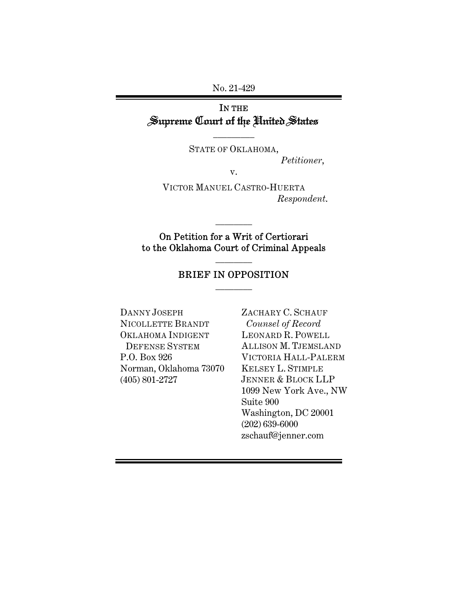No. 21-429

# IN THE Supreme Court of the United States

 $\overline{\phantom{a}}$  . The set of  $\overline{\phantom{a}}$ 

STATE OF OKLAHOMA, *Petitioner*,

v.

VICTOR MANUEL CASTRO-HUERTA *Respondent*.

On Petition for a Writ of Certiorari to the Oklahoma Court of Criminal Appeals

 $\frac{1}{2}$ 

# BRIEF IN OPPOSITION  $\frac{1}{2}$

 $\frac{1}{2}$ 

DANNY JOSEPH NICOLLETTE BRANDT OKLAHOMA INDIGENT DEFENSE SYSTEM P.O. Box 926 Norman, Oklahoma 73070 (405) 801-2727

ZACHARY C. SCHAUF *Counsel of Record*  LEONARD R. POWELL ALLISON M. TJEMSLAND VICTORIA HALL-PALERM KELSEY L. STIMPLE JENNER & BLOCK LLP 1099 New York Ave., NW Suite 900 Washington, DC 20001 (202) 639-6000 zschauf@jenner.com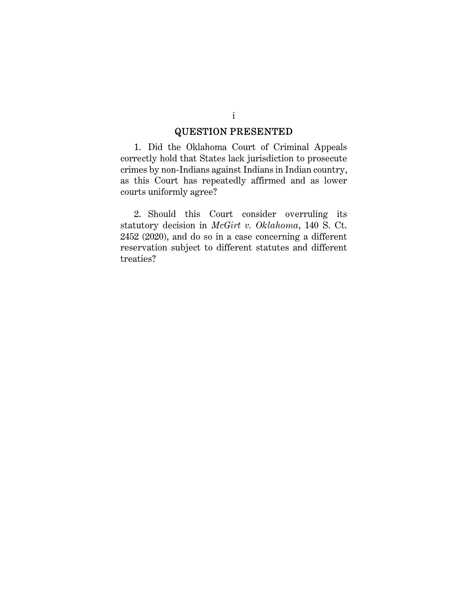## QUESTION PRESENTED

1. Did the Oklahoma Court of Criminal Appeals correctly hold that States lack jurisdiction to prosecute crimes by non-Indians against Indians in Indian country, as this Court has repeatedly affirmed and as lower courts uniformly agree?

2. Should this Court consider overruling its statutory decision in *McGirt v. Oklahoma*, 140 S. Ct. 2452 (2020), and do so in a case concerning a different reservation subject to different statutes and different treaties?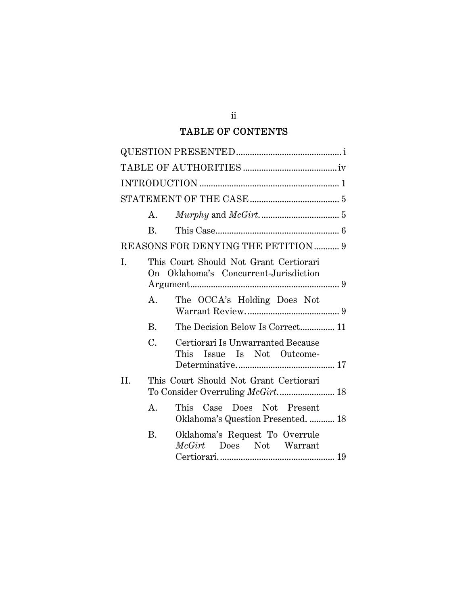# TABLE OF CONTENTS

|     | A.          |                                                                                 |
|-----|-------------|---------------------------------------------------------------------------------|
|     | <b>B.</b>   |                                                                                 |
|     |             | REASONS FOR DENYING THE PETITION 9                                              |
| I.  |             | This Court Should Not Grant Certiorari<br>On Oklahoma's Concurrent-Jurisdiction |
|     | A.          | The OCCA's Holding Does Not                                                     |
|     | <b>B.</b>   | The Decision Below Is Correct 11                                                |
|     | C.          | Certiorari Is Unwarranted Because<br>Issue Is Not Outcome-<br>This              |
| II. |             | This Court Should Not Grant Certiorari                                          |
|     | $A_{\cdot}$ | This Case Does Not Present<br>Oklahoma's Question Presented.  18                |
|     | B.          | Oklahoma's Request To Overrule<br>McGirt Does Not Warrant                       |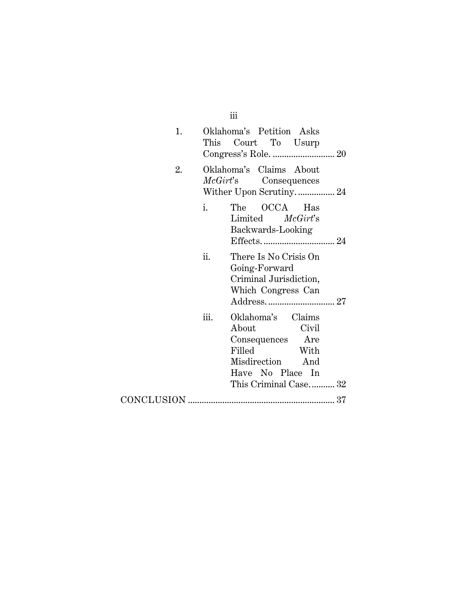| 1. |      | Oklahoma's Petition Asks<br>This Court To Usurp                                                                                               |
|----|------|-----------------------------------------------------------------------------------------------------------------------------------------------|
| 2. |      | Oklahoma's Claims About<br><i>McGirt's</i> Consequences<br>Wither Upon Scrutiny 24                                                            |
|    | i.   | The OCCA Has<br>Limited McGirt's<br>Backwards-Looking                                                                                         |
|    | ii.  | There Is No Crisis On<br>Going-Forward<br>Criminal Jurisdiction,<br>Which Congress Can                                                        |
|    | iii. | Oklahoma's Claims<br>Civil<br>About<br>Consequences<br>Are<br>Filled<br>With<br>Misdirection And<br>Have No Place In<br>This Criminal Case 32 |
|    |      |                                                                                                                                               |

iii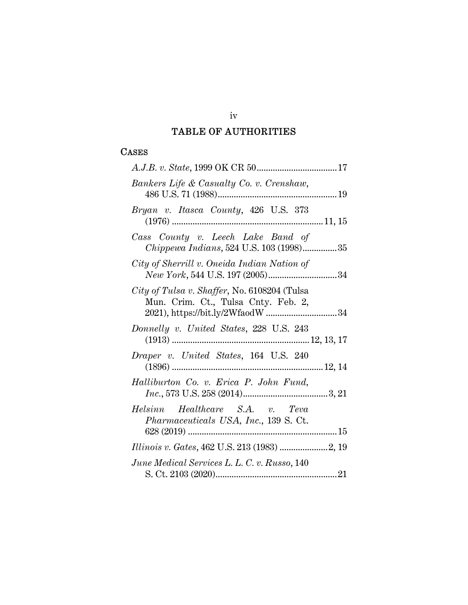# TABLE OF AUTHORITIES

## CASES

| Bankers Life & Casualty Co. v. Crenshaw,                                            |
|-------------------------------------------------------------------------------------|
| Bryan v. Itasca County, 426 U.S. 373                                                |
| Cass County v. Leech Lake Band of<br>Chippewa Indians, 524 U.S. 103 (1998)35        |
| City of Sherrill v. Oneida Indian Nation of                                         |
| City of Tulsa v. Shaffer, No. 6108204 (Tulsa<br>Mun. Crim. Ct., Tulsa Cnty. Feb. 2, |
| Donnelly v. United States, 228 U.S. 243                                             |
| Draper v. United States, 164 U.S. 240                                               |
| Halliburton Co. v. Erica P. John Fund,                                              |
| Helsinn Healthcare S.A. v. Teva<br><i>Pharmaceuticals USA, Inc., 139 S. Ct.</i>     |
|                                                                                     |
|                                                                                     |
| June Medical Services L. L. C. v. Russo, 140                                        |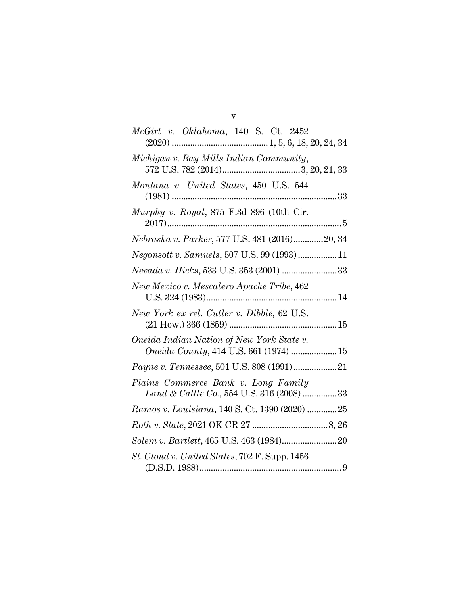| McGirt v. Oklahoma, 140 S. Ct. 2452                                                         |
|---------------------------------------------------------------------------------------------|
|                                                                                             |
| Michigan v. Bay Mills Indian Community,                                                     |
| Montana v. United States, 450 U.S. 544                                                      |
| Murphy v. Royal, 875 F.3d 896 (10th Cir.                                                    |
| Nebraska v. Parker, 577 U.S. 481 (2016)20, 34                                               |
| Negonsott v. Samuels, 507 U.S. 99 (1993)11                                                  |
| ${\it Nevada~v.~Hicks, 533~U.S.~353~(2001)~}{}{}{}{}{}{}{}$                                 |
| New Mexico v. Mescalero Apache Tribe, 462                                                   |
| New York ex rel. Cutler v. Dibble, 62 U.S.                                                  |
| Oneida Indian Nation of New York State v.<br><i>Oneida County</i> , 414 U.S. 661 (1974)  15 |
| Payne v. Tennessee, 501 U.S. 808 (1991)21                                                   |
| Plains Commerce Bank v. Long Family<br>Land & Cattle Co., 554 U.S. 316 (2008) 33            |
| Ramos v. Louisiana, 140 S. Ct. 1390 (2020) 25                                               |
|                                                                                             |
|                                                                                             |
| St. Cloud v. United States, 702 F. Supp. 1456                                               |

v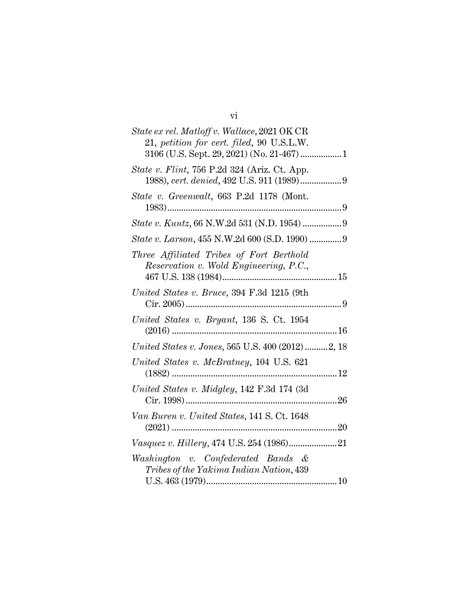| State ex rel. Matloff v. Wallace, 2021 OK CR                                            |
|-----------------------------------------------------------------------------------------|
| 21, petition for cert. filed, 90 U.S.L.W.<br>3106 (U.S. Sept. 29, 2021) (No. 21-467)  1 |
|                                                                                         |
| <i>State v. Flint</i> , 756 P.2d 324 (Ariz. Ct. App.                                    |
| State v. Greenwalt, 663 P.2d 1178 (Mont.                                                |
|                                                                                         |
| State v. Kuntz, 66 N.W.2d 531 (N.D. 1954)  9                                            |
| State v. Larson, 455 N.W.2d 600 (S.D. 1990)  9                                          |
| Three Affiliated Tribes of Fort Berthold                                                |
| Reservation v. Wold Engineering, P.C.,                                                  |
|                                                                                         |
| United States v. Bruce, 394 F.3d 1215 (9th                                              |
| United States v. Bryant, 136 S. Ct. 1954                                                |
|                                                                                         |
| United States v. Jones, 565 U.S. 400 (2012) 2, 18                                       |
| United States v. McBratney, 104 U.S. 621                                                |
|                                                                                         |
| United States v. Midgley, 142 F.3d 174 (3d)                                             |
|                                                                                         |
| Van Buren v. United States, 141 S. Ct. 1648                                             |
| Vasquez v. Hillery, 474 U.S. 254 (1986)21                                               |
|                                                                                         |
| Washington v. Confederated Bands &<br>Tribes of the Yakima Indian Nation, 439           |
|                                                                                         |
|                                                                                         |

vi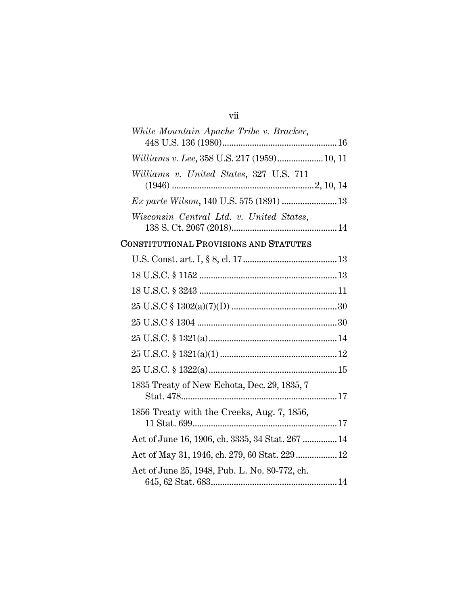# vii

| White Mountain Apache Tribe v. Bracker,  |  |
|------------------------------------------|--|
|                                          |  |
|                                          |  |
| Williams v. United States, 327 U.S. 711  |  |
|                                          |  |
|                                          |  |
| Wisconsin Central Ltd. v. United States, |  |
|                                          |  |

# CONSTITUTIONAL PROVISIONS AND STATUTES

| 1835 Treaty of New Echota, Dec. 29, 1835, 7      |  |
|--------------------------------------------------|--|
| 1856 Treaty with the Creeks, Aug. 7, 1856,       |  |
| Act of June 16, 1906, ch. 3335, 34 Stat. 267  14 |  |
| Act of May 31, 1946, ch. 279, 60 Stat. 229  12   |  |
| Act of June 25, 1948, Pub. L. No. 80-772, ch.    |  |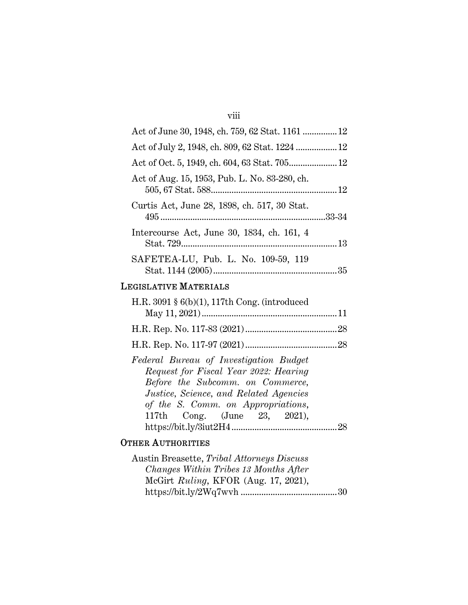# viii

| Act of June 30, 1948, ch. 759, 62 Stat. 1161  12                |  |
|-----------------------------------------------------------------|--|
|                                                                 |  |
|                                                                 |  |
| Act of Aug. 15, 1953, Pub. L. No. 83-280, ch.                   |  |
| Curtis Act, June 28, 1898, ch. 517, 30 Stat.                    |  |
| Intercourse Act, June 30, 1834, ch. 161, 4                      |  |
| SAFETEA-LU, Pub. L. No. 109-59, 119                             |  |
| <b>EGISLATIVE MATERIALS</b>                                     |  |
| $\parallel$ R 3091 $\frac{1}{2}$ 6(b)(1) 117th Cong (introduced |  |

#### LEGISLATIVE MATERIALS

| H.R. 3091 $\S 6(b)(1)$ , 117th Cong. (introduced                                                                                                                                                                                           |  |
|--------------------------------------------------------------------------------------------------------------------------------------------------------------------------------------------------------------------------------------------|--|
|                                                                                                                                                                                                                                            |  |
|                                                                                                                                                                                                                                            |  |
|                                                                                                                                                                                                                                            |  |
| Federal Bureau of Investigation Budget<br>Request for Fiscal Year 2022: Hearing<br>Before the Subcomm. on Commerce,<br><i>Justice, Science, and Related Agencies</i><br>of the S. Comm. on Appropriations,<br>117th Cong. (June 23, 2021), |  |
|                                                                                                                                                                                                                                            |  |

# OTHER AUTHORITIES

| Austin Breasette, Tribal Attorneys Discuss |  |
|--------------------------------------------|--|
| Changes Within Tribes 13 Months After      |  |
| McGirt Ruling, KFOR (Aug. 17, 2021),       |  |
|                                            |  |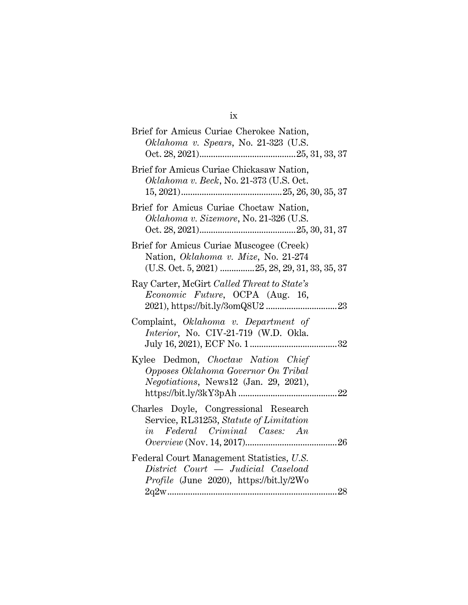| v |
|---|
|   |

| Brief for Amicus Curiae Cherokee Nation,<br>Oklahoma v. Spears, No. 21-323 (U.S.                                                     |
|--------------------------------------------------------------------------------------------------------------------------------------|
| Brief for Amicus Curiae Chickasaw Nation,<br>Oklahoma v. Beck, No. 21-373 (U.S. Oct.                                                 |
| Brief for Amicus Curiae Choctaw Nation,<br>Oklahoma v. Sizemore, No. 21-326 (U.S.                                                    |
| Brief for Amicus Curiae Muscogee (Creek)<br>Nation, Oklahoma v. Mize, No. 21-274<br>$(U.S. Oct. 5, 2021)$ 25, 28, 29, 31, 33, 35, 37 |
| Ray Carter, McGirt Called Threat to State's<br>Economic Future, OCPA (Aug. 16,                                                       |
| Complaint, Oklahoma v. Department of<br>Interior, No. CIV-21-719 (W.D. Okla.                                                         |
| Kylee Dedmon, Choctaw Nation Chief<br>Opposes Oklahoma Governor On Tribal<br>Negotiations, News12 (Jan. 29, 2021),                   |
| Charles Doyle, Congressional Research<br>Service, RL31253, Statute of Limitation<br>in Federal Criminal Cases: An                    |
| Federal Court Management Statistics, U.S.<br>District Court — Judicial Caseload<br><i>Profile</i> (June 2020), https://bit.ly/2Wo    |
| 28                                                                                                                                   |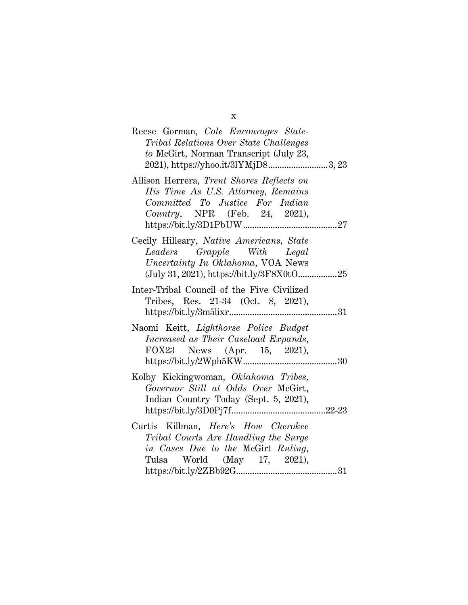| Reese Gorman, Cole Encourages State-<br>Tribal Relations Over State Challenges<br>to McGirt, Norman Transcript (July 23,                                 |
|----------------------------------------------------------------------------------------------------------------------------------------------------------|
| 2021), https://yhoo.it/3lYMjD83, 23                                                                                                                      |
| Allison Herrera, Trent Shores Reflects on<br>His Time As U.S. Attorney, Remains<br>Committed To Justice For Indian<br>Country, NPR (Feb. 24, 2021),      |
| Cecily Hilleary, Native Americans, State<br>Leaders Grapple With Legal<br>Uncertainty In Oklahoma, VOA News<br>(July 31, 2021), https://bit.ly/3F8X0tO25 |
| Inter-Tribal Council of the Five Civilized<br>Tribes, Res. 21-34 (Oct. 8, 2021),                                                                         |
| Naomi Keitt, Lighthorse Police Budget<br>Increased as Their Caseload Expands,<br>FOX23 News (Apr. 15, 2021),                                             |
| Kolby Kickingwoman, Oklahoma Tribes,<br>Governor Still at Odds Over McGirt,<br>Indian Country Today (Sept. 5, 2021),                                     |
| Curtis Killman, Here's How Cherokee<br>Tribal Courts Are Handling the Surge<br>in Cases Due to the McGirt Ruling,<br>Tulsa World (May 17, 2021),         |

x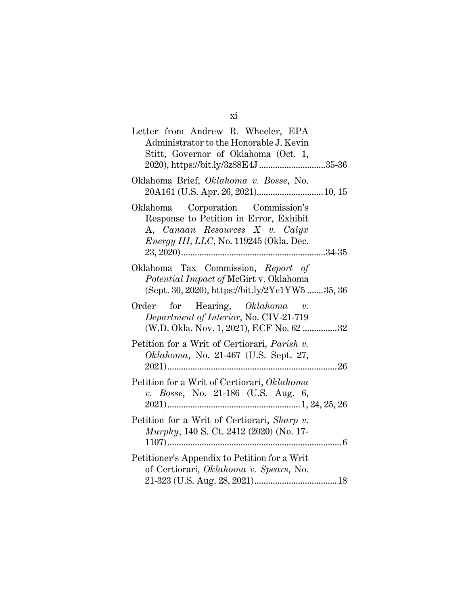| Letter from Andrew R. Wheeler, EPA<br>Administrator to the Honorable J. Kevin<br>Stitt, Governor of Oklahoma (Oct. 1,<br>2020), https://bit.ly/3z88E4J 35-36    |
|-----------------------------------------------------------------------------------------------------------------------------------------------------------------|
| Oklahoma Brief, Oklahoma v. Bosse, No.                                                                                                                          |
| Oklahoma Corporation Commission's<br>Response to Petition in Error, Exhibit<br>A, Canaan Resources X v. Calyx<br><i>Energy III, LLC, No.</i> 119245 (Okla. Dec. |
| Oklahoma Tax Commission, Report of<br>Potential Impact of McGirt v. Oklahoma<br>(Sept. 30, 2020), https://bit.ly/2Yc1YW535, 36                                  |
| Order for Hearing, $Oklahoma$ v.<br>Department of Interior, No. CIV-21-719<br>(W.D. Okla. Nov. 1, 2021), ECF No. 62 32                                          |
| Petition for a Writ of Certiorari, Parish v.<br>Oklahoma, No. 21-467 (U.S. Sept. 27,                                                                            |
| Petition for a Writ of Certiorari, Oklahoma<br>v. Bosse, No. 21-186 (U.S. Aug. 6,                                                                               |
| Petition for a Writ of Certiorari, Sharp v.<br>Murphy, 140 S. Ct. 2412 (2020) (No. 17-                                                                          |
| Petitioner's Appendix to Petition for a Writ<br>of Certiorari, Oklahoma v. Spears, No.                                                                          |

xi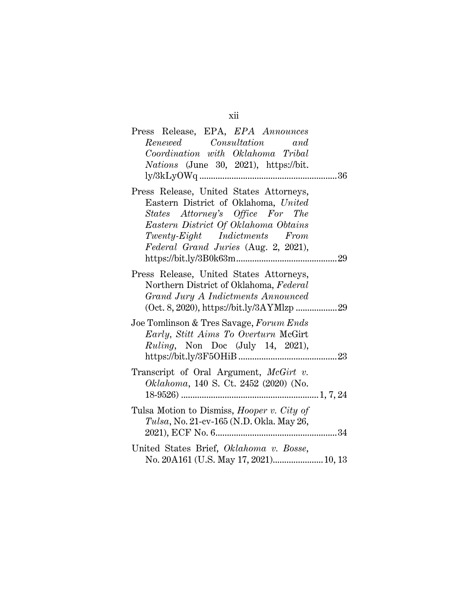| Press Release, EPA, EPA Announces                 |
|---------------------------------------------------|
| Renewed Consultation<br>and                       |
| Coordination with Oklahoma Tribal                 |
| <i>Nations</i> (June 30, 2021), https://bit.      |
|                                                   |
| Press Release, United States Attorneys,           |
| Eastern District of Oklahoma, United              |
| States Attorney's Office For The                  |
| Eastern District Of Oklahoma Obtains              |
| Twenty-Eight Indictments From                     |
| Federal Grand Juries (Aug. 2, 2021),              |
|                                                   |
| Press Release, United States Attorneys,           |
| Northern District of Oklahoma, Federal            |
| Grand Jury A Indictments Announced                |
|                                                   |
|                                                   |
| Joe Tomlinson & Tres Savage, Forum Ends           |
| Early, Stitt Aims To Overturn McGirt              |
| Ruling, Non Doc (July 14, 2021),                  |
|                                                   |
| Transcript of Oral Argument, McGirt v.            |
| Oklahoma, 140 S. Ct. 2452 (2020) (No.             |
|                                                   |
|                                                   |
| Tulsa Motion to Dismiss, <i>Hooper v. City of</i> |
| Tulsa, No. 21-cv-165 (N.D. Okla. May 26,          |
|                                                   |
| United States Brief, Oklahoma v. Bosse,           |
| No. 20A161 (U.S. May 17, 2021) 10, 13             |

xii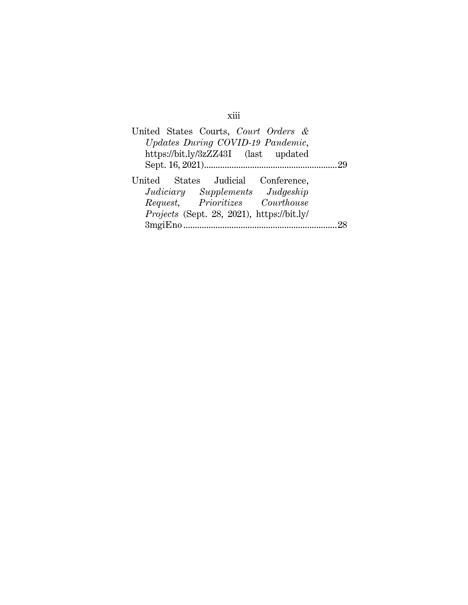| United States Courts, Court Orders &       |    |
|--------------------------------------------|----|
| Updates During COVID-19 Pandemic,          |    |
| https://bit.ly/3zZZ43I (last updated       |    |
|                                            | 29 |
| United States Judicial Conference,         |    |
| Judiciary Supplements Judgeship            |    |
| Request, Prioritizes Courthouse            |    |
| Projects (Sept. 28, 2021), https://bit.ly/ |    |
| 3mgiEno                                    |    |

xiii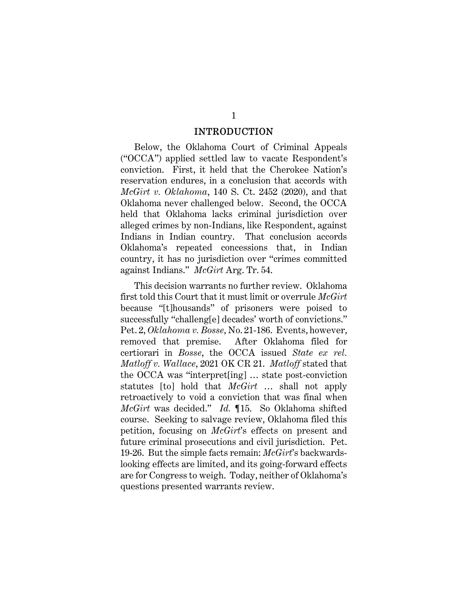#### INTRODUCTION

Below, the Oklahoma Court of Criminal Appeals ("OCCA") applied settled law to vacate Respondent's conviction. First, it held that the Cherokee Nation's reservation endures, in a conclusion that accords with *McGirt v. Oklahoma*, 140 S. Ct. 2452 (2020), and that Oklahoma never challenged below. Second, the OCCA held that Oklahoma lacks criminal jurisdiction over alleged crimes by non-Indians, like Respondent, against Indians in Indian country. That conclusion accords Oklahoma's repeated concessions that, in Indian country, it has no jurisdiction over "crimes committed against Indians." *McGirt* Arg. Tr. 54.

This decision warrants no further review. Oklahoma first told this Court that it must limit or overrule *McGirt* because "[t]housands" of prisoners were poised to successfully "challeng[e] decades' worth of convictions." Pet. 2, *Oklahoma v. Bosse*, No. 21-186. Events, however, removed that premise. After Oklahoma filed for certiorari in *Bosse*, the OCCA issued *State ex rel. Matloff v. Wallace*, 2021 OK CR 21. *Matloff* stated that the OCCA was "interpret[ing] … state post-conviction statutes [to] hold that *McGirt* … shall not apply retroactively to void a conviction that was final when *McGirt* was decided." *Id.* ¶15. So Oklahoma shifted course. Seeking to salvage review, Oklahoma filed this petition, focusing on *McGirt*'s effects on present and future criminal prosecutions and civil jurisdiction. Pet. 19-26. But the simple facts remain: *McGirt*'s backwardslooking effects are limited, and its going-forward effects are for Congress to weigh. Today, neither of Oklahoma's questions presented warrants review.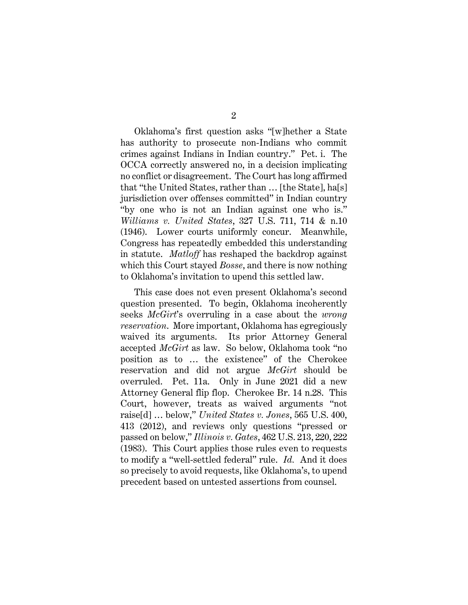Oklahoma's first question asks "[w]hether a State has authority to prosecute non-Indians who commit crimes against Indians in Indian country." Pet. i. The OCCA correctly answered no, in a decision implicating no conflict or disagreement. The Court has long affirmed that "the United States, rather than … [the State], ha[s] jurisdiction over offenses committed" in Indian country "by one who is not an Indian against one who is." *Williams v. United States*, 327 U.S. 711, 714 & n.10 (1946). Lower courts uniformly concur. Meanwhile, Congress has repeatedly embedded this understanding in statute. *Matloff* has reshaped the backdrop against which this Court stayed *Bosse*, and there is now nothing to Oklahoma's invitation to upend this settled law.

This case does not even present Oklahoma's second question presented. To begin, Oklahoma incoherently seeks *McGirt*'s overruling in a case about the *wrong reservation*. More important, Oklahoma has egregiously waived its arguments. Its prior Attorney General accepted *McGirt* as law. So below, Oklahoma took "no position as to … the existence" of the Cherokee reservation and did not argue *McGirt* should be overruled. Pet. 11a. Only in June 2021 did a new Attorney General flip flop. Cherokee Br. 14 n.28. This Court, however, treats as waived arguments "not raise[d] … below," *United States v. Jones*, 565 U.S. 400, 413 (2012), and reviews only questions "pressed or passed on below," *Illinois v. Gates*, 462 U.S. 213, 220, 222 (1983). This Court applies those rules even to requests to modify a "well-settled federal" rule. *Id.* And it does so precisely to avoid requests, like Oklahoma's, to upend precedent based on untested assertions from counsel.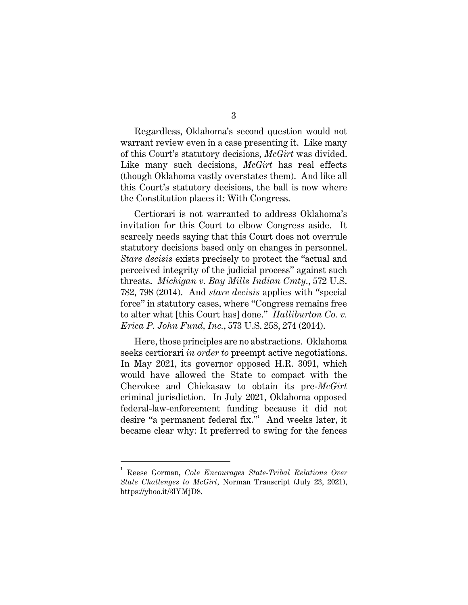Regardless, Oklahoma's second question would not warrant review even in a case presenting it. Like many of this Court's statutory decisions, *McGirt* was divided. Like many such decisions, *McGirt* has real effects (though Oklahoma vastly overstates them). And like all this Court's statutory decisions, the ball is now where the Constitution places it: With Congress.

Certiorari is not warranted to address Oklahoma's invitation for this Court to elbow Congress aside. It scarcely needs saying that this Court does not overrule statutory decisions based only on changes in personnel. *Stare decisis* exists precisely to protect the "actual and perceived integrity of the judicial process" against such threats. *Michigan v. Bay Mills Indian Cmty.*, 572 U.S. 782, 798 (2014). And *stare decisis* applies with "special force" in statutory cases, where "Congress remains free to alter what [this Court has] done." *Halliburton Co. v. Erica P. John Fund, Inc.*, 573 U.S. 258, 274 (2014).

Here, those principles are no abstractions. Oklahoma seeks certiorari *in order to* preempt active negotiations. In May 2021, its governor opposed H.R. 3091, which would have allowed the State to compact with the Cherokee and Chickasaw to obtain its pre-*McGirt* criminal jurisdiction. In July 2021, Oklahoma opposed federal-law-enforcement funding because it did not desire "a permanent federal fix." And weeks later, it became clear why: It preferred to swing for the fences

<sup>1</sup> Reese Gorman, *Cole Encourages State-Tribal Relations Over State Challenges to McGirt*, Norman Transcript (July 23, 2021), https://yhoo.it/3lYMjD8.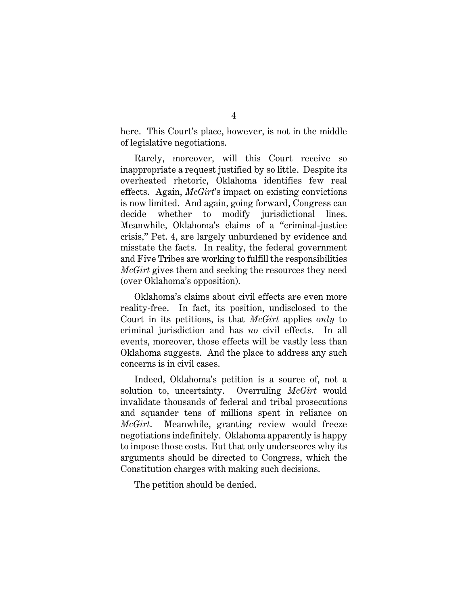here. This Court's place, however, is not in the middle of legislative negotiations.

Rarely, moreover, will this Court receive so inappropriate a request justified by so little. Despite its overheated rhetoric, Oklahoma identifies few real effects. Again, *McGirt*'s impact on existing convictions is now limited. And again, going forward, Congress can decide whether to modify jurisdictional lines. Meanwhile, Oklahoma's claims of a "criminal-justice crisis," Pet. 4, are largely unburdened by evidence and misstate the facts. In reality, the federal government and Five Tribes are working to fulfill the responsibilities *McGirt* gives them and seeking the resources they need (over Oklahoma's opposition).

Oklahoma's claims about civil effects are even more reality-free. In fact, its position, undisclosed to the Court in its petitions, is that *McGirt* applies *only* to criminal jurisdiction and has *no* civil effects. In all events, moreover, those effects will be vastly less than Oklahoma suggests. And the place to address any such concerns is in civil cases.

Indeed, Oklahoma's petition is a source of, not a solution to, uncertainty. Overruling *McGirt* would invalidate thousands of federal and tribal prosecutions and squander tens of millions spent in reliance on *McGirt*. Meanwhile, granting review would freeze negotiations indefinitely. Oklahoma apparently is happy to impose those costs. But that only underscores why its arguments should be directed to Congress, which the Constitution charges with making such decisions.

The petition should be denied.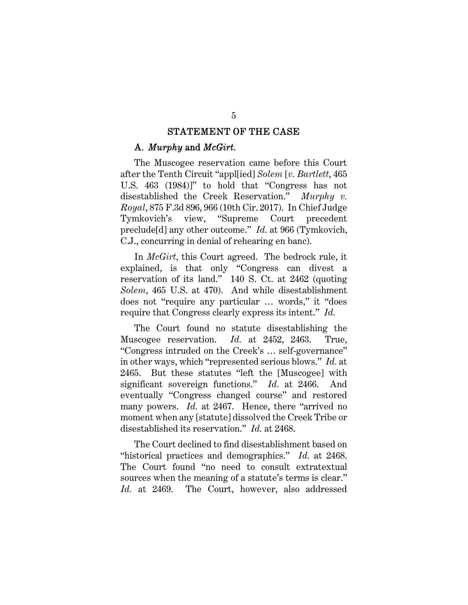#### STATEMENT OF THE CASE

#### A. *Murphy* and *McGirt*.

The Muscogee reservation came before this Court after the Tenth Circuit "appl[ied] *Solem* [*v. Bartlett*, 465 U.S. 463 (1984)]" to hold that "Congress has not disestablished the Creek Reservation." *Murphy v. Royal*, 875 F.3d 896, 966 (10th Cir. 2017). In Chief Judge Tymkovich's view, "Supreme Court precedent preclude[d] any other outcome." *Id.* at 966 (Tymkovich, C.J., concurring in denial of rehearing en banc).

In *McGirt*, this Court agreed. The bedrock rule, it explained, is that only "Congress can divest a reservation of its land." 140 S. Ct. at 2462 (quoting *Solem*, 465 U.S. at 470). And while disestablishment does not "require any particular … words," it "does require that Congress clearly express its intent." *Id.*

The Court found no statute disestablishing the Muscogee reservation. *Id.* at 2452, 2463. True, "Congress intruded on the Creek's … self-governance" in other ways, which "represented serious blows." *Id.* at 2465. But these statutes "left the [Muscogee] with significant sovereign functions." *Id.* at 2466. And eventually "Congress changed course" and restored many powers. *Id.* at 2467. Hence, there "arrived no moment when any [statute] dissolved the Creek Tribe or disestablished its reservation." *Id.* at 2468.

The Court declined to find disestablishment based on "historical practices and demographics." *Id.* at 2468. The Court found "no need to consult extratextual sources when the meaning of a statute's terms is clear." *Id.* at 2469. The Court, however, also addressed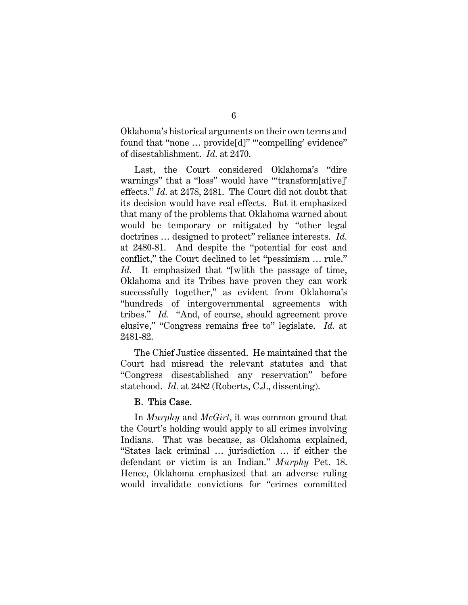Oklahoma's historical arguments on their own terms and found that "none ... provide[d]" ""compelling' evidence" of disestablishment. *Id.* at 2470.

Last, the Court considered Oklahoma's "dire warnings" that a "loss" would have ""transform[ative]" effects." *Id.* at 2478, 2481. The Court did not doubt that its decision would have real effects. But it emphasized that many of the problems that Oklahoma warned about would be temporary or mitigated by "other legal doctrines … designed to protect" reliance interests. *Id.* at 2480-81. And despite the "potential for cost and conflict," the Court declined to let "pessimism … rule." *Id.* It emphasized that "[w]ith the passage of time, Oklahoma and its Tribes have proven they can work successfully together," as evident from Oklahoma's "hundreds of intergovernmental agreements with tribes." *Id.* "And, of course, should agreement prove elusive," "Congress remains free to" legislate. *Id.* at 2481-82.

The Chief Justice dissented. He maintained that the Court had misread the relevant statutes and that "Congress disestablished any reservation" before statehood. *Id.* at 2482 (Roberts, C.J., dissenting).

#### B. This Case.

In *Murphy* and *McGirt*, it was common ground that the Court's holding would apply to all crimes involving Indians. That was because, as Oklahoma explained, "States lack criminal … jurisdiction … if either the defendant or victim is an Indian." *Murphy* Pet. 18. Hence, Oklahoma emphasized that an adverse ruling would invalidate convictions for "crimes committed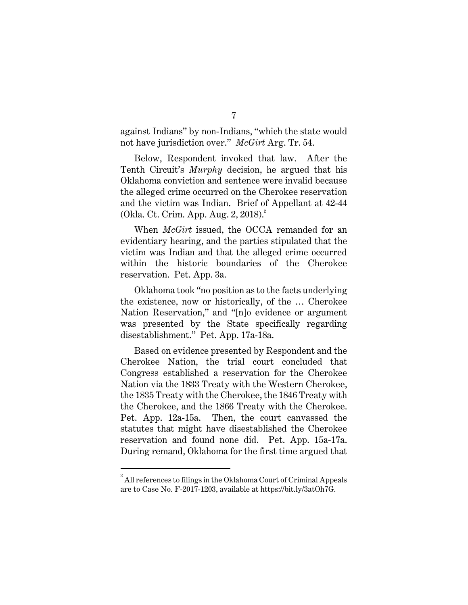against Indians" by non-Indians, "which the state would not have jurisdiction over." *McGirt* Arg. Tr. 54.

Below, Respondent invoked that law. After the Tenth Circuit's *Murphy* decision, he argued that his Oklahoma conviction and sentence were invalid because the alleged crime occurred on the Cherokee reservation and the victim was Indian. Brief of Appellant at 42-44 (Okla. Ct. Crim. App. Aug. 2, 2018).<sup>2</sup>

When *McGirt* issued, the OCCA remanded for an evidentiary hearing, and the parties stipulated that the victim was Indian and that the alleged crime occurred within the historic boundaries of the Cherokee reservation. Pet. App. 3a.

Oklahoma took "no position as to the facts underlying the existence, now or historically, of the … Cherokee Nation Reservation," and "[n]o evidence or argument was presented by the State specifically regarding disestablishment." Pet. App. 17a-18a.

Based on evidence presented by Respondent and the Cherokee Nation, the trial court concluded that Congress established a reservation for the Cherokee Nation via the 1833 Treaty with the Western Cherokee, the 1835 Treaty with the Cherokee, the 1846 Treaty with the Cherokee, and the 1866 Treaty with the Cherokee. Pet. App. 12a-15a. Then, the court canvassed the statutes that might have disestablished the Cherokee reservation and found none did. Pet. App. 15a-17a. During remand, Oklahoma for the first time argued that

 $^2$  All references to filings in the Oklahoma Court of Criminal Appeals are to Case No. F-2017-1203, available at https://bit.ly/3atOh7G.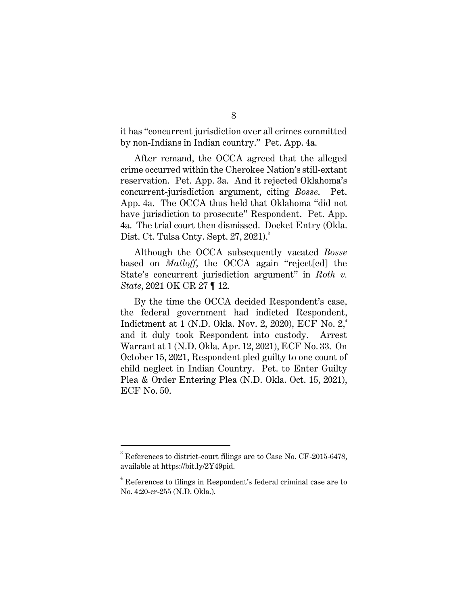it has "concurrent jurisdiction over all crimes committed by non-Indians in Indian country." Pet. App. 4a.

After remand, the OCCA agreed that the alleged crime occurred within the Cherokee Nation's still-extant reservation. Pet. App. 3a. And it rejected Oklahoma's concurrent-jurisdiction argument, citing *Bosse*. Pet. App. 4a. The OCCA thus held that Oklahoma "did not have jurisdiction to prosecute" Respondent. Pet. App. 4a. The trial court then dismissed. Docket Entry (Okla. Dist. Ct. Tulsa Cnty. Sept. 27, 2021).<sup>3</sup>

Although the OCCA subsequently vacated *Bosse*  based on *Matloff*, the OCCA again "reject[ed] the State's concurrent jurisdiction argument" in *Roth v. State*, 2021 OK CR 27 ¶ 12.

By the time the OCCA decided Respondent's case, the federal government had indicted Respondent, Indictment at 1 (N.D. Okla. Nov. 2, 2020), ECF No.  $2<sup>4</sup>$ , and it duly took Respondent into custody. Arrest Warrant at 1 (N.D. Okla. Apr. 12, 2021), ECF No. 33. On October 15, 2021, Respondent pled guilty to one count of child neglect in Indian Country. Pet. to Enter Guilty Plea & Order Entering Plea (N.D. Okla. Oct. 15, 2021), ECF No. 50.

 $3$  References to district-court filings are to Case No. CF-2015-6478, available at https://bit.ly/2Y49pid.

 $4$  References to filings in Respondent's federal criminal case are to No. 4:20-cr-255 (N.D. Okla.).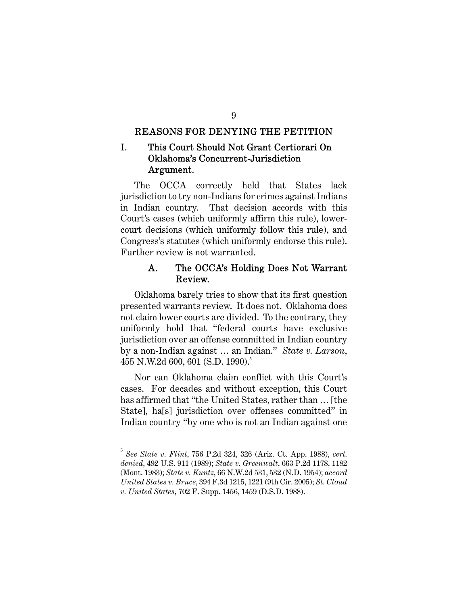#### REASONS FOR DENYING THE PETITION

# I. This Court Should Not Grant Certiorari On Oklahoma's Concurrent-Jurisdiction Argument.

The OCCA correctly held that States lack jurisdiction to try non-Indians for crimes against Indians in Indian country. That decision accords with this Court's cases (which uniformly affirm this rule), lowercourt decisions (which uniformly follow this rule), and Congress's statutes (which uniformly endorse this rule). Further review is not warranted.

### A. The OCCA's Holding Does Not Warrant Review.

Oklahoma barely tries to show that its first question presented warrants review. It does not. Oklahoma does not claim lower courts are divided. To the contrary, they uniformly hold that "federal courts have exclusive jurisdiction over an offense committed in Indian country by a non-Indian against … an Indian." *State v. Larson*, 455 N.W.2d 600, 601 (S.D. 1990).<sup>5</sup>

Nor can Oklahoma claim conflict with this Court's cases. For decades and without exception, this Court has affirmed that "the United States, rather than … [the State], ha[s] jurisdiction over offenses committed" in Indian country "by one who is not an Indian against one

<sup>5</sup> *See State v. Flint*, 756 P.2d 324, 326 (Ariz. Ct. App. 1988), *cert. denied*, 492 U.S. 911 (1989); *State v. Greenwalt*, 663 P.2d 1178, 1182 (Mont. 1983); *State v. Kuntz*, 66 N.W.2d 531, 532 (N.D. 1954); *accord United States v. Bruce*, 394 F.3d 1215, 1221 (9th Cir. 2005); *St. Cloud v. United States*, 702 F. Supp. 1456, 1459 (D.S.D. 1988).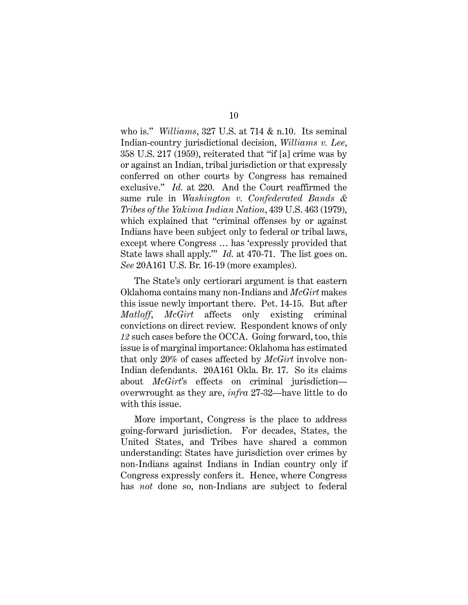who is." *Williams*, 327 U.S. at 714 & n.10. Its seminal Indian-country jurisdictional decision, *Williams v. Lee*, 358 U.S. 217 (1959), reiterated that "if [a] crime was by or against an Indian, tribal jurisdiction or that expressly conferred on other courts by Congress has remained exclusive." *Id.* at 220. And the Court reaffirmed the same rule in *Washington v. Confederated Bands & Tribes of the Yakima Indian Nation*, 439 U.S. 463 (1979), which explained that "criminal offenses by or against Indians have been subject only to federal or tribal laws, except where Congress … has 'expressly provided that State laws shall apply.'" *Id.* at 470-71. The list goes on. *See* 20A161 U.S. Br. 16-19 (more examples).

The State's only certiorari argument is that eastern Oklahoma contains many non-Indians and *McGirt* makes this issue newly important there. Pet. 14-15. But after *Matloff*, *McGirt* affects only existing criminal convictions on direct review. Respondent knows of only *12* such cases before the OCCA. Going forward, too, this issue is of marginal importance: Oklahoma has estimated that only 20% of cases affected by *McGirt* involve non-Indian defendants. 20A161 Okla. Br. 17. So its claims about *McGirt*'s effects on criminal jurisdiction overwrought as they are, *infra* 27-32—have little to do with this issue.

More important, Congress is the place to address going-forward jurisdiction. For decades, States, the United States, and Tribes have shared a common understanding: States have jurisdiction over crimes by non-Indians against Indians in Indian country only if Congress expressly confers it. Hence, where Congress has *not* done so, non-Indians are subject to federal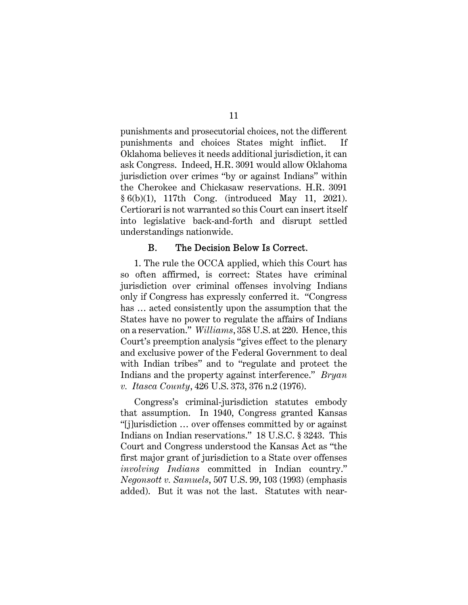punishments and prosecutorial choices, not the different punishments and choices States might inflict. If Oklahoma believes it needs additional jurisdiction, it can ask Congress. Indeed, H.R. 3091 would allow Oklahoma jurisdiction over crimes "by or against Indians" within the Cherokee and Chickasaw reservations. H.R. 3091 § 6(b)(1), 117th Cong. (introduced May 11, 2021). Certiorari is not warranted so this Court can insert itself into legislative back-and-forth and disrupt settled understandings nationwide.

#### B. The Decision Below Is Correct.

1. The rule the OCCA applied, which this Court has so often affirmed, is correct: States have criminal jurisdiction over criminal offenses involving Indians only if Congress has expressly conferred it. "Congress has … acted consistently upon the assumption that the States have no power to regulate the affairs of Indians on a reservation." *Williams*, 358 U.S. at 220. Hence, this Court's preemption analysis "gives effect to the plenary and exclusive power of the Federal Government to deal with Indian tribes" and to "regulate and protect the Indians and the property against interference." *Bryan v. Itasca County*, 426 U.S. 373, 376 n.2 (1976).

Congress's criminal-jurisdiction statutes embody that assumption. In 1940, Congress granted Kansas "[j]urisdiction … over offenses committed by or against Indians on Indian reservations." 18 U.S.C. § 3243. This Court and Congress understood the Kansas Act as "the first major grant of jurisdiction to a State over offenses *involving Indians* committed in Indian country." *Negonsott v. Samuels*, 507 U.S. 99, 103 (1993) (emphasis added). But it was not the last. Statutes with near-

11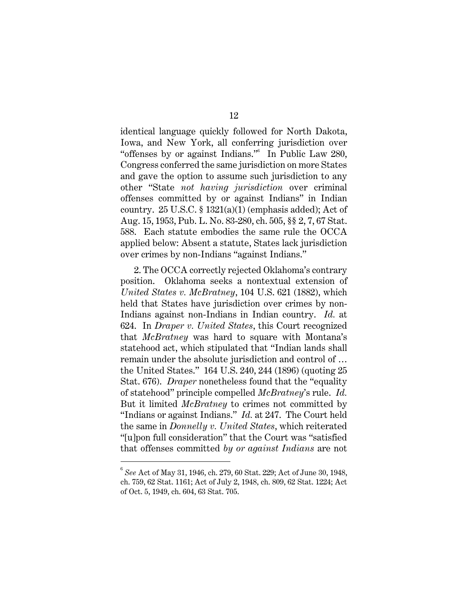identical language quickly followed for North Dakota, Iowa, and New York, all conferring jurisdiction over "offenses by or against Indians."<sup>6</sup> In Public Law 280, Congress conferred the same jurisdiction on more States and gave the option to assume such jurisdiction to any other "State *not having jurisdiction* over criminal offenses committed by or against Indians" in Indian country.  $25 \text{ U.S.C.} \$   $1321(a)(1)$  (emphasis added); Act of Aug. 15, 1953, Pub. L. No. 83-280, ch. 505, §§ 2, 7, 67 Stat. 588. Each statute embodies the same rule the OCCA applied below: Absent a statute, States lack jurisdiction over crimes by non-Indians "against Indians."

2. The OCCA correctly rejected Oklahoma's contrary position. Oklahoma seeks a nontextual extension of *United States v. McBratney*, 104 U.S. 621 (1882), which held that States have jurisdiction over crimes by non-Indians against non-Indians in Indian country. *Id.* at 624. In *Draper v. United States*, this Court recognized that *McBratney* was hard to square with Montana's statehood act, which stipulated that "Indian lands shall remain under the absolute jurisdiction and control of … the United States." 164 U.S. 240, 244 (1896) (quoting 25 Stat. 676). *Draper* nonetheless found that the "equality of statehood" principle compelled *McBratney*'s rule. *Id.* But it limited *McBratney* to crimes not committed by "Indians or against Indians." *Id.* at 247. The Court held the same in *Donnelly v. United States*, which reiterated "[u]pon full consideration" that the Court was "satisfied that offenses committed *by or against Indians* are not

<sup>6</sup> *See* Act of May 31, 1946, ch. 279, 60 Stat. 229; Act of June 30, 1948, ch. 759, 62 Stat. 1161; Act of July 2, 1948, ch. 809, 62 Stat. 1224; Act of Oct. 5, 1949, ch. 604, 63 Stat. 705.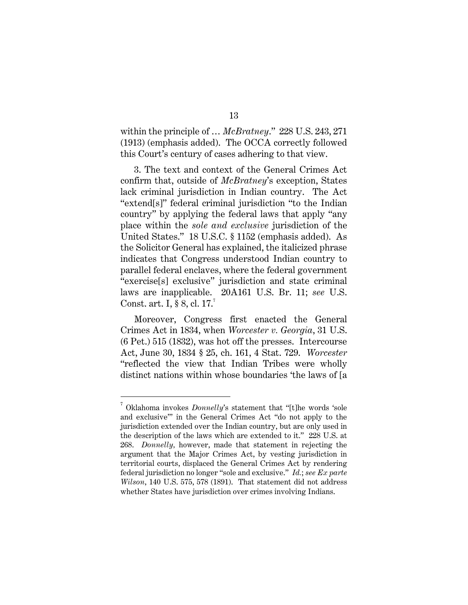within the principle of … *McBratney*." 228 U.S. 243, 271 (1913) (emphasis added). The OCCA correctly followed this Court's century of cases adhering to that view.

3. The text and context of the General Crimes Act confirm that, outside of *McBratney*'s exception, States lack criminal jurisdiction in Indian country. The Act "extend[s]" federal criminal jurisdiction "to the Indian country" by applying the federal laws that apply "any place within the *sole and exclusive* jurisdiction of the United States." 18 U.S.C. § 1152 (emphasis added). As the Solicitor General has explained, the italicized phrase indicates that Congress understood Indian country to parallel federal enclaves, where the federal government "exercise[s] exclusive" jurisdiction and state criminal laws are inapplicable. 20A161 U.S. Br. 11; *see* U.S. Const. art. I,  $\S 8$ , cl. 17.<sup>7</sup>

Moreover, Congress first enacted the General Crimes Act in 1834, when *Worcester v. Georgia*, 31 U.S. (6 Pet.) 515 (1832), was hot off the presses. Intercourse Act, June 30, 1834 § 25, ch. 161, 4 Stat. 729. *Worcester* "reflected the view that Indian Tribes were wholly distinct nations within whose boundaries 'the laws of [a

<sup>7</sup> Oklahoma invokes *Donnelly*'s statement that "[t]he words 'sole and exclusive'" in the General Crimes Act "do not apply to the jurisdiction extended over the Indian country, but are only used in the description of the laws which are extended to it." 228 U.S. at 268. *Donnelly,* however, made that statement in rejecting the argument that the Major Crimes Act, by vesting jurisdiction in territorial courts, displaced the General Crimes Act by rendering federal jurisdiction no longer "sole and exclusive." *Id.*; *see Ex parte Wilson*, 140 U.S. 575, 578 (1891). That statement did not address whether States have jurisdiction over crimes involving Indians.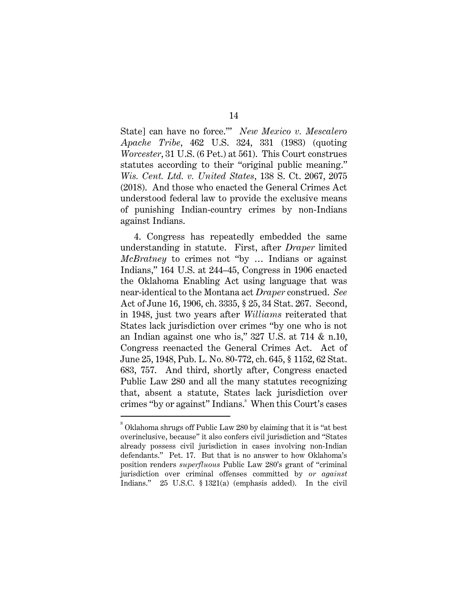State] can have no force.'" *New Mexico v. Mescalero Apache Tribe*, 462 U.S. 324, 331 (1983) (quoting *Worcester*, 31 U.S. (6 Pet.) at 561). This Court construes statutes according to their "original public meaning." *Wis. Cent. Ltd. v. United States*, 138 S. Ct. 2067, 2075 (2018). And those who enacted the General Crimes Act understood federal law to provide the exclusive means of punishing Indian-country crimes by non-Indians against Indians.

4. Congress has repeatedly embedded the same understanding in statute. First, after *Draper* limited *McBratney* to crimes not "by … Indians or against Indians," 164 U.S. at 244–45, Congress in 1906 enacted the Oklahoma Enabling Act using language that was near-identical to the Montana act *Draper* construed. *See*  Act of June 16, 1906, ch. 3335, § 25, 34 Stat. 267. Second, in 1948, just two years after *Williams* reiterated that States lack jurisdiction over crimes "by one who is not an Indian against one who is," 327 U.S. at 714 & n.10, Congress reenacted the General Crimes Act. Act of June 25, 1948, Pub. L. No. 80-772, ch. 645, § 1152, 62 Stat. 683, 757. And third, shortly after, Congress enacted Public Law 280 and all the many statutes recognizing that, absent a statute, States lack jurisdiction over crimes "by or against" Indians. <sup>8</sup> When this Court's cases

14

 $^8$  Oklahoma shrugs off Public Law 280 by claiming that it is "at best overinclusive, because" it also confers civil jurisdiction and "States already possess civil jurisdiction in cases involving non-Indian defendants." Pet. 17. But that is no answer to how Oklahoma's position renders *superfluous* Public Law 280's grant of "criminal jurisdiction over criminal offenses committed by *or against*  Indians." 25 U.S.C. § 1321(a) (emphasis added). In the civil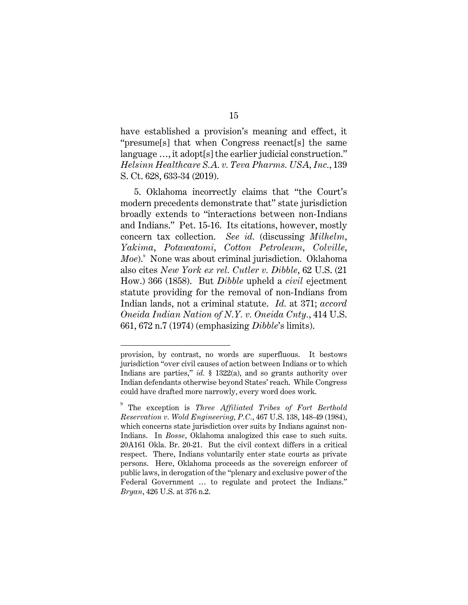have established a provision's meaning and effect, it "presume[s] that when Congress reenact[s] the same language …, it adopt[s] the earlier judicial construction." *Helsinn Healthcare S.A. v. Teva Pharms. USA, Inc.*, 139 S. Ct. 628, 633-34 (2019).

5. Oklahoma incorrectly claims that "the Court's modern precedents demonstrate that" state jurisdiction broadly extends to "interactions between non-Indians and Indians." Pet. 15-16. Its citations, however, mostly concern tax collection. *See id.* (discussing *Milhelm*, *Yakima*, *Potawatomi*, *Cotton Petroleum*, *Colville*, *Moe*).<sup>9</sup> None was about criminal jurisdiction. Oklahoma also cites *New York ex rel. Cutler v. Dibble*, 62 U.S. (21 How.) 366 (1858). But *Dibble* upheld a *civil* ejectment statute providing for the removal of non-Indians from Indian lands, not a criminal statute. *Id.* at 371; *accord Oneida Indian Nation of N.Y. v. Oneida Cnty.*, 414 U.S. 661, 672 n.7 (1974) (emphasizing *Dibble*'s limits).

provision, by contrast, no words are superfluous. It bestows jurisdiction "over civil causes of action between Indians or to which Indians are parties," *id.* § 1322(a), and so grants authority over Indian defendants otherwise beyond States' reach. While Congress could have drafted more narrowly, every word does work.

<sup>9</sup> The exception is *Three Affiliated Tribes of Fort Berthold Reservation v. Wold Engineering, P.C.*, 467 U.S. 138, 148-49 (1984), which concerns state jurisdiction over suits by Indians against non-Indians. In *Bosse*, Oklahoma analogized this case to such suits. 20A161 Okla. Br. 20-21. But the civil context differs in a critical respect. There, Indians voluntarily enter state courts as private persons. Here, Oklahoma proceeds as the sovereign enforcer of public laws, in derogation of the "plenary and exclusive power of the Federal Government … to regulate and protect the Indians." *Bryan*, 426 U.S. at 376 n.2.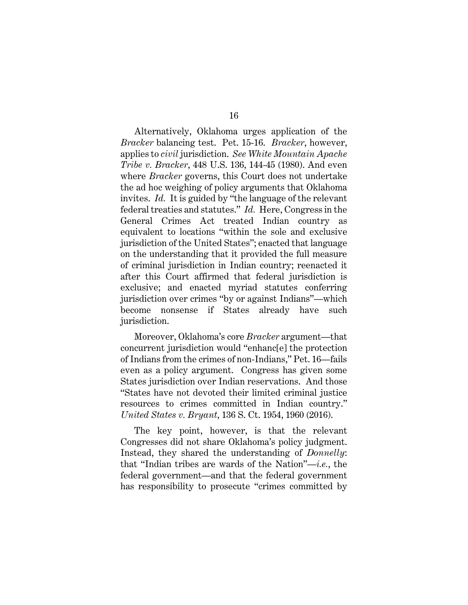Alternatively, Oklahoma urges application of the *Bracker* balancing test. Pet. 15-16. *Bracker*, however, applies to *civil* jurisdiction. *See White Mountain Apache Tribe v. Bracker*, 448 U.S. 136, 144-45 (1980). And even where *Bracker* governs, this Court does not undertake the ad hoc weighing of policy arguments that Oklahoma invites. *Id.* It is guided by "the language of the relevant federal treaties and statutes." *Id.* Here, Congress in the General Crimes Act treated Indian country as equivalent to locations "within the sole and exclusive jurisdiction of the United States"; enacted that language on the understanding that it provided the full measure of criminal jurisdiction in Indian country; reenacted it after this Court affirmed that federal jurisdiction is exclusive; and enacted myriad statutes conferring jurisdiction over crimes "by or against Indians"—which become nonsense if States already have such jurisdiction.

Moreover, Oklahoma's core *Bracker* argument—that concurrent jurisdiction would "enhanc[e] the protection of Indians from the crimes of non-Indians," Pet. 16—fails even as a policy argument. Congress has given some States jurisdiction over Indian reservations. And those "States have not devoted their limited criminal justice resources to crimes committed in Indian country." *United States v. Bryant*, 136 S. Ct. 1954, 1960 (2016).

The key point, however, is that the relevant Congresses did not share Oklahoma's policy judgment. Instead, they shared the understanding of *Donnelly*: that "Indian tribes are wards of the Nation"—*i.e.*, the federal government—and that the federal government has responsibility to prosecute "crimes committed by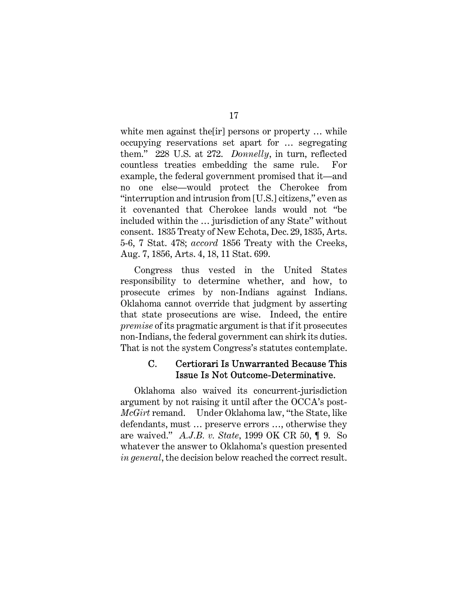white men against the [ir] persons or property ... while occupying reservations set apart for … segregating them." 228 U.S. at 272. *Donnelly*, in turn, reflected countless treaties embedding the same rule. For example, the federal government promised that it—and no one else—would protect the Cherokee from "interruption and intrusion from [U.S.] citizens," even as it covenanted that Cherokee lands would not "be included within the … jurisdiction of any State" without consent. 1835 Treaty of New Echota, Dec. 29, 1835, Arts. 5-6, 7 Stat. 478; *accord* 1856 Treaty with the Creeks, Aug. 7, 1856, Arts. 4, 18, 11 Stat. 699.

Congress thus vested in the United States responsibility to determine whether, and how, to prosecute crimes by non-Indians against Indians. Oklahoma cannot override that judgment by asserting that state prosecutions are wise. Indeed, the entire *premise* of its pragmatic argument is that if it prosecutes non-Indians, the federal government can shirk its duties. That is not the system Congress's statutes contemplate.

#### C. Certiorari Is Unwarranted Because This Issue Is Not Outcome-Determinative.

Oklahoma also waived its concurrent-jurisdiction argument by not raising it until after the OCCA's post-*McGirt* remand. Under Oklahoma law, "the State, like defendants, must … preserve errors …, otherwise they are waived." *A.J.B. v. State*, 1999 OK CR 50, ¶ 9. So whatever the answer to Oklahoma's question presented *in general*, the decision below reached the correct result.

#### 17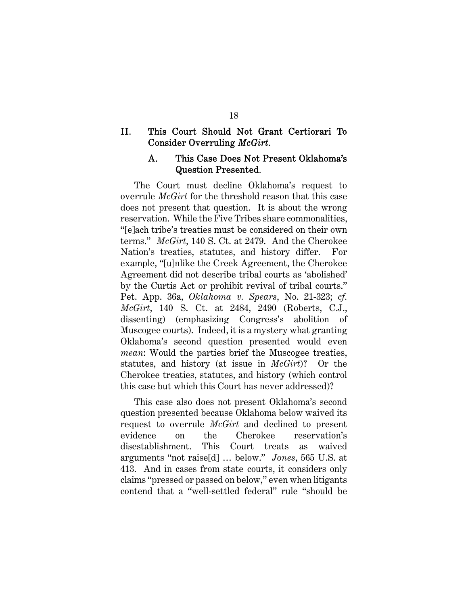### II. This Court Should Not Grant Certiorari To Consider Overruling *McGirt*.

### A. This Case Does Not Present Oklahoma's Question Presented*.*

The Court must decline Oklahoma's request to overrule *McGirt* for the threshold reason that this case does not present that question. It is about the wrong reservation. While the Five Tribes share commonalities, "[e]ach tribe's treaties must be considered on their own terms." *McGirt*, 140 S. Ct. at 2479. And the Cherokee Nation's treaties, statutes, and history differ. For example, "[u]nlike the Creek Agreement, the Cherokee Agreement did not describe tribal courts as 'abolished' by the Curtis Act or prohibit revival of tribal courts." Pet. App. 36a, *Oklahoma v. Spears*, No. 21-323; *cf. McGirt*, 140 S. Ct. at 2484, 2490 (Roberts, C.J., dissenting) (emphasizing Congress's abolition of Muscogee courts). Indeed, it is a mystery what granting Oklahoma's second question presented would even *mean*: Would the parties brief the Muscogee treaties, statutes, and history (at issue in *McGirt*)? Or the Cherokee treaties, statutes, and history (which control this case but which this Court has never addressed)?

This case also does not present Oklahoma's second question presented because Oklahoma below waived its request to overrule *McGirt* and declined to present evidence on the Cherokee reservation's disestablishment. This Court treats as waived arguments "not raise[d] … below." *Jones*, 565 U.S. at 413. And in cases from state courts, it considers only claims "pressed or passed on below," even when litigants contend that a "well-settled federal" rule "should be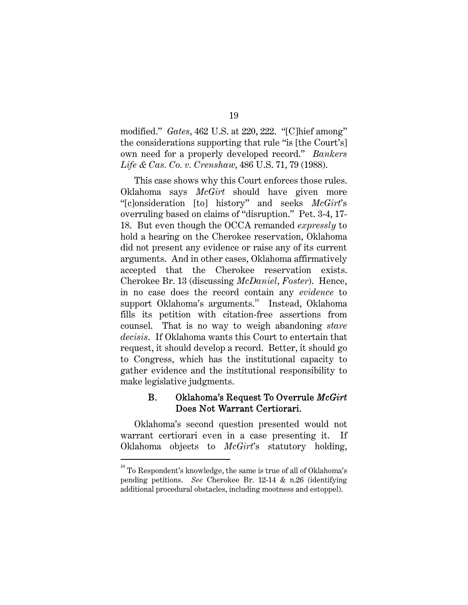modified." *Gates*, 462 U.S. at 220, 222. "[C]hief among" the considerations supporting that rule "is [the Court's] own need for a properly developed record." *Bankers Life & Cas. Co. v. Crenshaw*, 486 U.S. 71, 79 (1988).

This case shows why this Court enforces those rules. Oklahoma says *McGirt* should have given more "[c]onsideration [to] history" and seeks *McGirt*'s overruling based on claims of "disruption." Pet. 3-4, 17- 18. But even though the OCCA remanded *expressly* to hold a hearing on the Cherokee reservation, Oklahoma did not present any evidence or raise any of its current arguments. And in other cases, Oklahoma affirmatively accepted that the Cherokee reservation exists. Cherokee Br. 13 (discussing *McDaniel*, *Foster*). Hence, in no case does the record contain any *evidence* to support Oklahoma's arguments.<sup>10</sup> Instead, Oklahoma fills its petition with citation-free assertions from counsel. That is no way to weigh abandoning *stare decisis*. If Oklahoma wants this Court to entertain that request, it should develop a record. Better, it should go to Congress, which has the institutional capacity to gather evidence and the institutional responsibility to make legislative judgments.

### B. Oklahoma's Request To Overrule *McGirt*  Does Not Warrant Certiorari.

Oklahoma's second question presented would not warrant certiorari even in a case presenting it. If Oklahoma objects to *McGirt*'s statutory holding,

19

 $10$  To Respondent's knowledge, the same is true of all of Oklahoma's pending petitions. *See* Cherokee Br. 12-14 & n.26 (identifying additional procedural obstacles, including mootness and estoppel).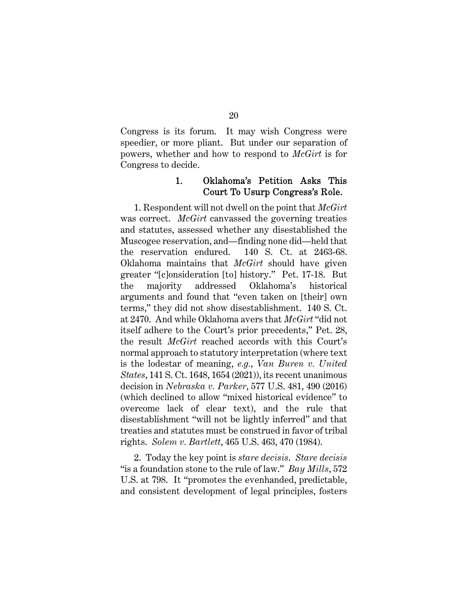Congress is its forum. It may wish Congress were speedier, or more pliant. But under our separation of powers, whether and how to respond to *McGirt* is for Congress to decide.

#### 1. Oklahoma's Petition Asks This Court To Usurp Congress's Role.

1. Respondent will not dwell on the point that *McGirt* was correct. *McGirt* canvassed the governing treaties and statutes, assessed whether any disestablished the Muscogee reservation, and—finding none did—held that the reservation endured. 140 S. Ct. at 2463-68. Oklahoma maintains that *McGirt* should have given greater "[c]onsideration [to] history." Pet. 17-18. But the majority addressed Oklahoma's historical arguments and found that "even taken on [their] own terms," they did not show disestablishment. 140 S. Ct. at 2470. And while Oklahoma avers that *McGirt* "did not itself adhere to the Court's prior precedents," Pet. 28, the result *McGirt* reached accords with this Court's normal approach to statutory interpretation (where text is the lodestar of meaning, *e.g.*, *Van Buren v. United States*, 141 S. Ct. 1648, 1654 (2021)), its recent unanimous decision in *Nebraska v. Parker*, 577 U.S. 481, 490 (2016) (which declined to allow "mixed historical evidence" to overcome lack of clear text), and the rule that disestablishment "will not be lightly inferred" and that treaties and statutes must be construed in favor of tribal rights. *Solem v. Bartlett*, 465 U.S. 463, 470 (1984).

2. Today the key point is *stare decisis*. *Stare decisis* "is a foundation stone to the rule of law." *Bay Mills*, 572 U.S. at 798. It "promotes the evenhanded, predictable, and consistent development of legal principles, fosters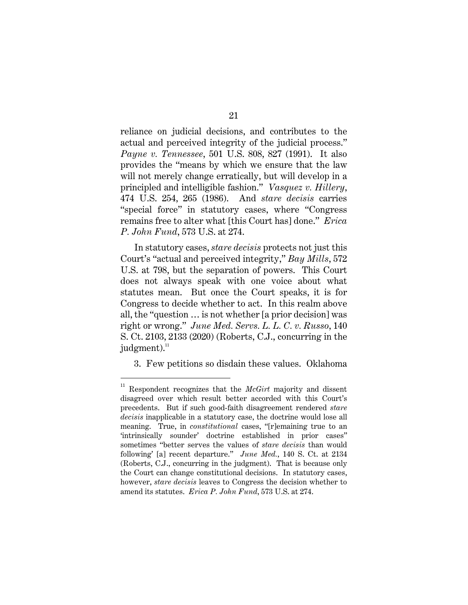reliance on judicial decisions, and contributes to the actual and perceived integrity of the judicial process." *Payne v. Tennessee*, 501 U.S. 808, 827 (1991). It also provides the "means by which we ensure that the law will not merely change erratically, but will develop in a principled and intelligible fashion." *Vasquez v. Hillery*, 474 U.S. 254, 265 (1986). And *stare decisis* carries "special force" in statutory cases, where "Congress remains free to alter what [this Court has] done." *Erica P. John Fund*, 573 U.S. at 274.

In statutory cases, *stare decisis* protects not just this Court's "actual and perceived integrity," *Bay Mills*, 572 U.S. at 798, but the separation of powers. This Court does not always speak with one voice about what statutes mean. But once the Court speaks, it is for Congress to decide whether to act. In this realm above all, the "question … is not whether [a prior decision] was right or wrong." *June Med. Servs. L. L. C. v. Russo*, 140 S. Ct. 2103, 2133 (2020) (Roberts, C.J., concurring in the judgment). $\frac{11}{11}$ 

3. Few petitions so disdain these values. Oklahoma

<sup>11</sup> Respondent recognizes that the *McGirt* majority and dissent disagreed over which result better accorded with this Court's precedents. But if such good-faith disagreement rendered *stare decisis* inapplicable in a statutory case, the doctrine would lose all meaning. True, in *constitutional* cases, "[r]emaining true to an 'intrinsically sounder' doctrine established in prior cases" sometimes "better serves the values of *stare decisis* than would following' [a] recent departure." *June Med.*, 140 S. Ct. at 2134 (Roberts, C.J., concurring in the judgment). That is because only the Court can change constitutional decisions. In statutory cases, however, *stare decisis* leaves to Congress the decision whether to amend its statutes. *Erica P. John Fund*, 573 U.S. at 274.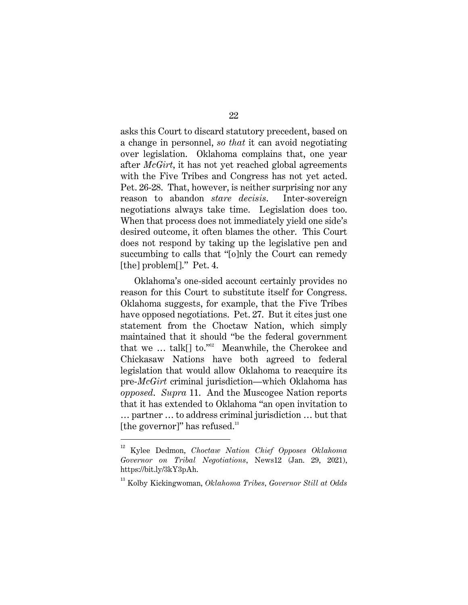asks this Court to discard statutory precedent, based on a change in personnel, *so that* it can avoid negotiating over legislation. Oklahoma complains that, one year after *McGirt*, it has not yet reached global agreements with the Five Tribes and Congress has not yet acted. Pet. 26-28. That, however, is neither surprising nor any reason to abandon *stare decisis*. Inter-sovereign negotiations always take time. Legislation does too. When that process does not immediately yield one side's desired outcome, it often blames the other. This Court does not respond by taking up the legislative pen and succumbing to calls that "[o]nly the Court can remedy [the] problem<sup>[]</sup>." Pet. 4.

Oklahoma's one-sided account certainly provides no reason for this Court to substitute itself for Congress. Oklahoma suggests, for example, that the Five Tribes have opposed negotiations. Pet. 27. But it cites just one statement from the Choctaw Nation, which simply maintained that it should "be the federal government that we  $\ldots$  talk[] to."<sup>12</sup> Meanwhile, the Cherokee and Chickasaw Nations have both agreed to federal legislation that would allow Oklahoma to reacquire its pre-*McGirt* criminal jurisdiction—which Oklahoma has *opposed*. *Supra* 11. And the Muscogee Nation reports that it has extended to Oklahoma "an open invitation to … partner … to address criminal jurisdiction … but that [the governor]" has refused. $13$ 

<sup>12</sup> Kylee Dedmon, *Choctaw Nation Chief Opposes Oklahoma Governor on Tribal Negotiations*, News12 (Jan. 29, 2021), https://bit.ly/3kY3pAh.

<sup>13</sup> Kolby Kickingwoman, *Oklahoma Tribes, Governor Still at Odds*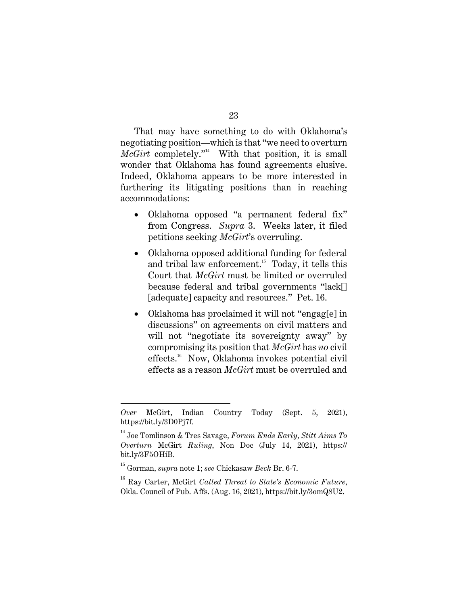That may have something to do with Oklahoma's negotiating position—which is that "we need to overturn  $McGirt$  completely."<sup>14</sup> With that position, it is small wonder that Oklahoma has found agreements elusive. Indeed, Oklahoma appears to be more interested in furthering its litigating positions than in reaching accommodations:

- Oklahoma opposed "a permanent federal fix" from Congress. *Supra* 3. Weeks later, it filed petitions seeking *McGirt*'s overruling.
- Oklahoma opposed additional funding for federal and tribal law enforcement.<sup>15</sup> Today, it tells this Court that *McGirt* must be limited or overruled because federal and tribal governments "lack[] [adequate] capacity and resources." Pet. 16.
- Oklahoma has proclaimed it will not "engag[e] in discussions" on agreements on civil matters and will not "negotiate its sovereignty away" by compromising its position that *McGirt* has *no* civil effects.<sup>16</sup> Now, Oklahoma invokes potential civil effects as a reason *McGirt* must be overruled and

*Over* McGirt, Indian Country Today (Sept. 5, 2021), https://bit.ly/3D0Pj7f.

<sup>14</sup> Joe Tomlinson & Tres Savage, *Forum Ends Early, Stitt Aims To Overturn* McGirt *Ruling*, Non Doc (July 14, 2021), https:// bit.ly/3F5OHiB.

<sup>15</sup> Gorman, *supra* note 1; *see* Chickasaw *Beck* Br. 6-7.

<sup>16</sup> Ray Carter, McGirt *Called Threat to State's Economic Future*, Okla. Council of Pub. Affs. (Aug. 16, 2021), https://bit.ly/3omQ8U2.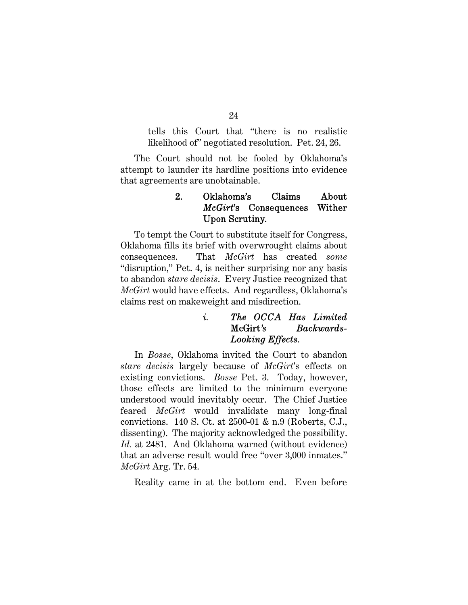tells this Court that "there is no realistic likelihood of" negotiated resolution. Pet. 24, 26.

The Court should not be fooled by Oklahoma's attempt to launder its hardline positions into evidence that agreements are unobtainable.

### 2. Oklahoma's Claims About *McGirt*'s Consequences Wither Upon Scrutiny.

To tempt the Court to substitute itself for Congress, Oklahoma fills its brief with overwrought claims about consequences. That *McGirt* has created *some* "disruption," Pet. 4, is neither surprising nor any basis to abandon *stare decisis*. Every Justice recognized that *McGirt* would have effects. And regardless, Oklahoma's claims rest on makeweight and misdirection.

## *i. The OCCA Has Limited*  McGirt*'s Backwards-Looking Effects.*

In *Bosse*, Oklahoma invited the Court to abandon *stare decisis* largely because of *McGirt*'s effects on existing convictions. *Bosse* Pet. 3. Today, however, those effects are limited to the minimum everyone understood would inevitably occur. The Chief Justice feared *McGirt* would invalidate many long-final convictions. 140 S. Ct. at 2500-01 & n.9 (Roberts, C.J., dissenting). The majority acknowledged the possibility. *Id.* at 2481. And Oklahoma warned (without evidence) that an adverse result would free "over 3,000 inmates." *McGirt* Arg. Tr. 54.

Reality came in at the bottom end. Even before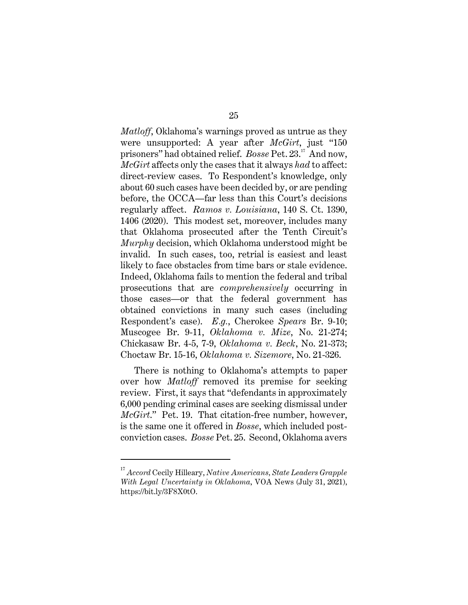*Matloff*, Oklahoma's warnings proved as untrue as they were unsupported: A year after *McGirt*, just "150 prisoners" had obtained relief. *Bosse* Pet. 23.<sup>17</sup> And now, *McGirt* affects only the cases that it always *had* to affect: direct-review cases. To Respondent's knowledge, only about 60 such cases have been decided by, or are pending before, the OCCA—far less than this Court's decisions regularly affect. *Ramos v. Louisiana*, 140 S. Ct. 1390, 1406 (2020). This modest set, moreover, includes many that Oklahoma prosecuted after the Tenth Circuit's *Murphy* decision, which Oklahoma understood might be invalid. In such cases, too, retrial is easiest and least likely to face obstacles from time bars or stale evidence. Indeed, Oklahoma fails to mention the federal and tribal prosecutions that are *comprehensively* occurring in those cases—or that the federal government has obtained convictions in many such cases (including Respondent's case). *E.g.*, Cherokee *Spears* Br. 9-10; Muscogee Br. 9-11, *Oklahoma v. Mize*, No. 21-274; Chickasaw Br. 4-5, 7-9, *Oklahoma v. Beck*, No. 21-373; Choctaw Br. 15-16, *Oklahoma v. Sizemore*, No. 21-326.

There is nothing to Oklahoma's attempts to paper over how *Matloff* removed its premise for seeking review. First, it says that "defendants in approximately 6,000 pending criminal cases are seeking dismissal under *McGirt*." Pet. 19. That citation-free number, however, is the same one it offered in *Bosse*, which included postconviction cases. *Bosse* Pet. 25. Second, Oklahoma avers

<sup>17</sup> *Accord* Cecily Hilleary, *Native Americans, State Leaders Grapple With Legal Uncertainty in Oklahoma*, VOA News (July 31, 2021), https://bit.ly/3F8X0tO.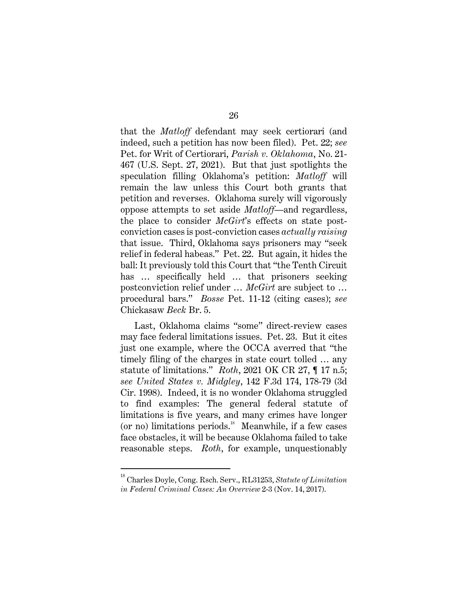that the *Matloff* defendant may seek certiorari (and indeed, such a petition has now been filed). Pet. 22; *see*  Pet. for Writ of Certiorari, *Parish v. Oklahoma*, No. 21- 467 (U.S. Sept. 27, 2021). But that just spotlights the speculation filling Oklahoma's petition: *Matloff* will remain the law unless this Court both grants that petition and reverses. Oklahoma surely will vigorously oppose attempts to set aside *Matloff*—and regardless, the place to consider *McGirt*'s effects on state postconviction cases is post-conviction cases *actually raising*  that issue. Third, Oklahoma says prisoners may "seek relief in federal habeas." Pet. 22. But again, it hides the ball: It previously told this Court that "the Tenth Circuit has ... specifically held ... that prisoners seeking postconviction relief under … *McGirt* are subject to … procedural bars." *Bosse* Pet. 11-12 (citing cases); *see*  Chickasaw *Beck* Br. 5.

Last, Oklahoma claims "some" direct-review cases may face federal limitations issues. Pet. 23. But it cites just one example, where the OCCA averred that "the timely filing of the charges in state court tolled … any statute of limitations." *Roth*, 2021 OK CR 27, ¶ 17 n.5; *see United States v. Midgley*, 142 F.3d 174, 178-79 (3d Cir. 1998). Indeed, it is no wonder Oklahoma struggled to find examples: The general federal statute of limitations is five years, and many crimes have longer (or no) limitations periods. $18$  Meanwhile, if a few cases face obstacles, it will be because Oklahoma failed to take reasonable steps. *Roth*, for example, unquestionably

<sup>18</sup> Charles Doyle, Cong. Rsch. Serv., RL31253, *Statute of Limitation in Federal Criminal Cases: An Overview* 2-3 (Nov. 14, 2017).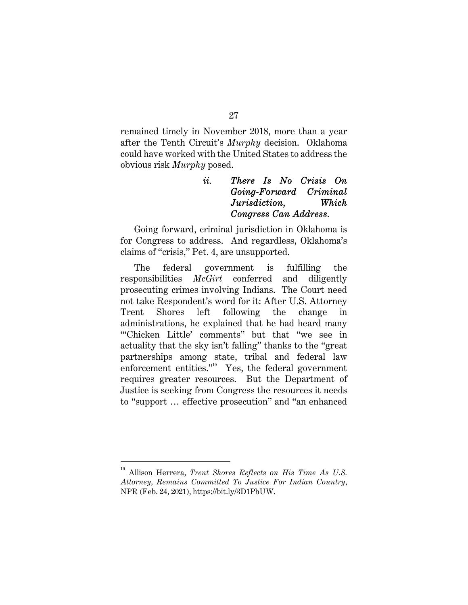remained timely in November 2018, more than a year after the Tenth Circuit's *Murphy* decision. Oklahoma could have worked with the United States to address the obvious risk *Murphy* posed.

## *ii. There Is No Crisis On Going-Forward Criminal Jurisdiction, Which Congress Can Address.*

Going forward, criminal jurisdiction in Oklahoma is for Congress to address. And regardless, Oklahoma's claims of "crisis," Pet. 4, are unsupported.

The federal government is fulfilling the responsibilities *McGirt* conferred and diligently prosecuting crimes involving Indians. The Court need not take Respondent's word for it: After U.S. Attorney Trent Shores left following the change in administrations, he explained that he had heard many "'Chicken Little' comments" but that "we see in actuality that the sky isn't falling" thanks to the "great partnerships among state, tribal and federal law enforcement entities." $\frac{1}{2}$  Yes, the federal government requires greater resources. But the Department of Justice is seeking from Congress the resources it needs to "support … effective prosecution" and "an enhanced

<sup>19</sup> Allison Herrera, *Trent Shores Reflects on His Time As U.S. Attorney, Remains Committed To Justice For Indian Country*, NPR (Feb. 24, 2021), https://bit.ly/3D1PbUW.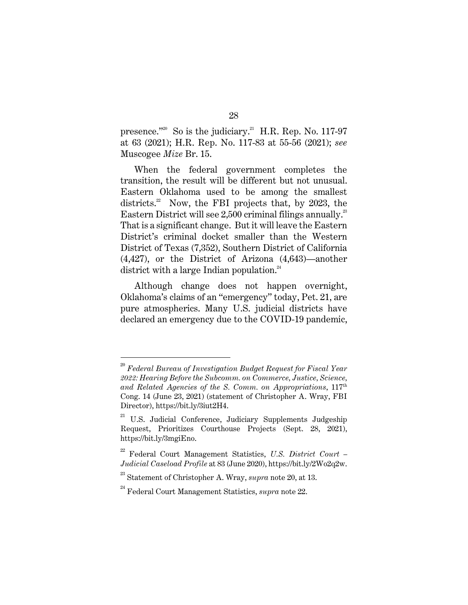presence."<sup>20</sup> So is the judiciary.<sup>21</sup> H.R. Rep. No. 117-97 at 63 (2021); H.R. Rep. No. 117-83 at 55-56 (2021); *see* Muscogee *Mize* Br. 15.

When the federal government completes the transition, the result will be different but not unusual. Eastern Oklahoma used to be among the smallest districts. $2^2$  Now, the FBI projects that, by 2023, the Eastern District will see 2,500 criminal filings annually.<sup>23</sup> That is a significant change. But it will leave the Eastern District's criminal docket smaller than the Western District of Texas (7,352), Southern District of California (4,427), or the District of Arizona (4,643)—another district with a large Indian population. $24$ 

Although change does not happen overnight, Oklahoma's claims of an "emergency" today, Pet. 21, are pure atmospherics. Many U.S. judicial districts have declared an emergency due to the COVID-19 pandemic,

<sup>20</sup> *Federal Bureau of Investigation Budget Request for Fiscal Year 2022: Hearing Before the Subcomm. on Commerce, Justice, Science, and Related Agencies of the S. Comm. on Appropriations*, 117th Cong. 14 (June 23, 2021) (statement of Christopher A. Wray, FBI Director), https://bit.ly/3iut2H4.

 $21$  U.S. Judicial Conference, Judiciary Supplements Judgeship Request, Prioritizes Courthouse Projects (Sept. 28, 2021), https://bit.ly/3mgiEno.

<sup>22</sup> Federal Court Management Statistics, *U.S. District Court – Judicial Caseload Profile* at 83 (June 2020), https://bit.ly/2Wo2q2w.

<sup>23</sup> Statement of Christopher A. Wray, *supra* note 20, at 13.

<sup>24</sup> Federal Court Management Statistics, *supra* note 22.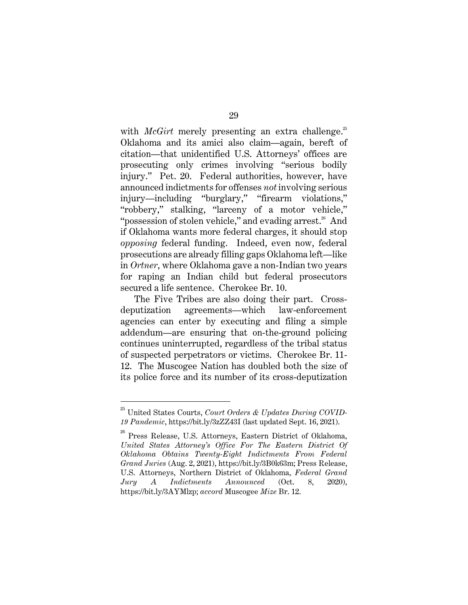with *McGirt* merely presenting an extra challenge.<sup>25</sup> Oklahoma and its amici also claim—again, bereft of citation—that unidentified U.S. Attorneys' offices are prosecuting only crimes involving "serious bodily injury." Pet. 20. Federal authorities, however, have announced indictments for offenses *not* involving serious injury—including "burglary," "firearm violations," "robbery," stalking, "larceny of a motor vehicle," "possession of stolen vehicle," and evading arrest. $26$  And if Oklahoma wants more federal charges, it should stop *opposing* federal funding. Indeed, even now, federal prosecutions are already filling gaps Oklahoma left—like in *Ortner*, where Oklahoma gave a non-Indian two years for raping an Indian child but federal prosecutors secured a life sentence. Cherokee Br. 10.

The Five Tribes are also doing their part. Crossdeputization agreements—which law-enforcement agencies can enter by executing and filing a simple addendum—are ensuring that on-the-ground policing continues uninterrupted, regardless of the tribal status of suspected perpetrators or victims. Cherokee Br. 11- 12. The Muscogee Nation has doubled both the size of its police force and its number of its cross-deputization

29

<sup>25</sup> United States Courts, *Court Orders & Updates During COVID-19 Pandemic*, https://bit.ly/3zZZ43I (last updated Sept. 16, 2021).

<sup>&</sup>lt;sup>26</sup> Press Release, U.S. Attorneys, Eastern District of Oklahoma, *United States Attorney's Office For The Eastern District Of Oklahoma Obtains Twenty-Eight Indictments From Federal Grand Juries* (Aug. 2, 2021), https://bit.ly/3B0k63m; Press Release, U.S. Attorneys, Northern District of Oklahoma, *Federal Grand Jury A Indictments Announced* (Oct. 8, 2020), https://bit.ly/3AYMlzp; *accord* Muscogee *Mize* Br. 12.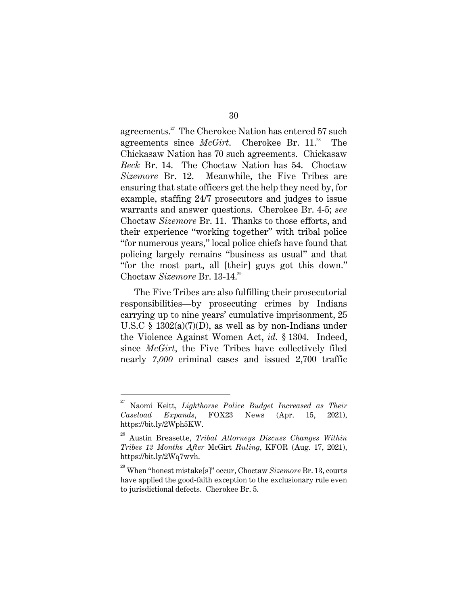agreements.<sup>27</sup> The Cherokee Nation has entered 57 such agreements since *McGirt*. Cherokee Br. 11.<sup>28</sup> The Chickasaw Nation has 70 such agreements. Chickasaw *Beck* Br. 14. The Choctaw Nation has 54. Choctaw *Sizemore* Br. 12. Meanwhile, the Five Tribes are ensuring that state officers get the help they need by, for example, staffing 24/7 prosecutors and judges to issue warrants and answer questions. Cherokee Br. 4-5; *see* Choctaw *Sizemore* Br. 11. Thanks to those efforts, and their experience "working together" with tribal police "for numerous years," local police chiefs have found that policing largely remains "business as usual" and that "for the most part, all [their] guys got this down." Choctaw *Sizemore* Br. 13-14.<sup>29</sup>

The Five Tribes are also fulfilling their prosecutorial responsibilities—by prosecuting crimes by Indians carrying up to nine years' cumulative imprisonment, 25 U.S.C § 1302(a)(7)(D), as well as by non-Indians under the Violence Against Women Act, *id.* § 1304. Indeed, since *McGirt*, the Five Tribes have collectively filed nearly *7,000* criminal cases and issued 2,700 traffic

<sup>27</sup> Naomi Keitt, *Lighthorse Police Budget Increased as Their Caseload Expands*, FOX23 News (Apr. 15, 2021), https://bit.ly/2Wph5KW.

<sup>28</sup> Austin Breasette, *Tribal Attorneys Discuss Changes Within Tribes 13 Months After* McGirt *Ruling*, KFOR (Aug. 17, 2021), https://bit.ly/2Wq7wvh.

<sup>29</sup> When "honest mistake[s]" occur, Choctaw *Sizemore* Br. 13, courts have applied the good-faith exception to the exclusionary rule even to jurisdictional defects. Cherokee Br. 5.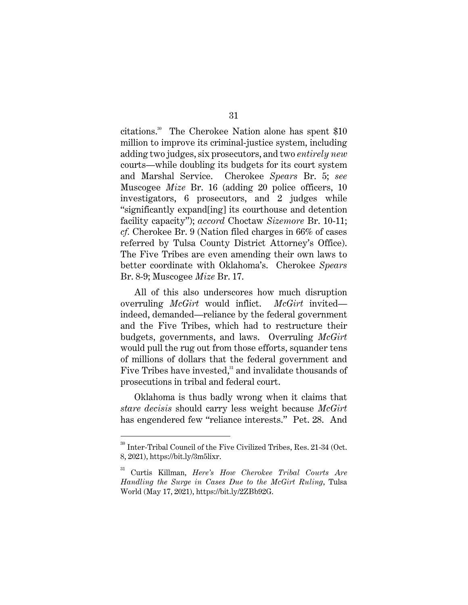citations.<sup>30</sup> The Cherokee Nation alone has spent \$10 million to improve its criminal-justice system, including adding two judges, six prosecutors, and two *entirely new* courts—while doubling its budgets for its court system and Marshal Service. Cherokee *Spears* Br. 5; *see* Muscogee *Mize* Br. 16 (adding 20 police officers, 10 investigators, 6 prosecutors, and 2 judges while "significantly expand[ing] its courthouse and detention facility capacity"); *accord* Choctaw *Sizemore* Br. 10-11; *cf.* Cherokee Br. 9 (Nation filed charges in 66% of cases referred by Tulsa County District Attorney's Office). The Five Tribes are even amending their own laws to better coordinate with Oklahoma's. Cherokee *Spears* Br. 8-9; Muscogee *Mize* Br. 17.

All of this also underscores how much disruption overruling *McGirt* would inflict. *McGirt* invited indeed, demanded—reliance by the federal government and the Five Tribes, which had to restructure their budgets, governments, and laws. Overruling *McGirt* would pull the rug out from those efforts, squander tens of millions of dollars that the federal government and Five Tribes have invested,<sup>31</sup> and invalidate thousands of prosecutions in tribal and federal court.

Oklahoma is thus badly wrong when it claims that *stare decisis* should carry less weight because *McGirt*  has engendered few "reliance interests." Pet. 28. And

<sup>30</sup> Inter-Tribal Council of the Five Civilized Tribes, Res. 21-34 (Oct. 8, 2021), https://bit.ly/3m5lixr.

<sup>31</sup> Curtis Killman, *Here's How Cherokee Tribal Courts Are Handling the Surge in Cases Due to the McGirt Ruling*, Tulsa World (May 17, 2021), https://bit.ly/2ZBb92G.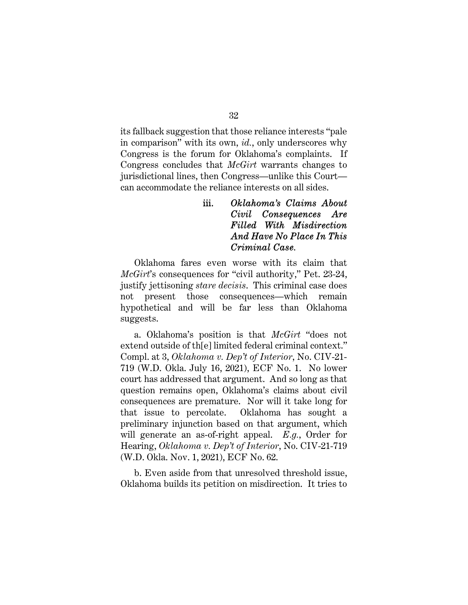its fallback suggestion that those reliance interests "pale in comparison" with its own, *id.*, only underscores why Congress is the forum for Oklahoma's complaints. If Congress concludes that *McGirt* warrants changes to jurisdictional lines, then Congress—unlike this Court can accommodate the reliance interests on all sides.

# iii. *Oklahoma's Claims About Civil Consequences Are Filled With Misdirection And Have No Place In This Criminal Case.*

Oklahoma fares even worse with its claim that *McGirt*'s consequences for "civil authority," Pet. 23-24, justify jettisoning *stare decisis*. This criminal case does not present those consequences—which remain hypothetical and will be far less than Oklahoma suggests.

a. Oklahoma's position is that *McGirt* "does not extend outside of th[e] limited federal criminal context." Compl. at 3, *Oklahoma v. Dep't of Interior*, No. CIV-21- 719 (W.D. Okla. July 16, 2021), ECF No. 1. No lower court has addressed that argument. And so long as that question remains open, Oklahoma's claims about civil consequences are premature. Nor will it take long for that issue to percolate. Oklahoma has sought a preliminary injunction based on that argument, which will generate an as-of-right appeal. *E.g.*, Order for Hearing, *Oklahoma v. Dep't of Interior*, No. CIV-21-719 (W.D. Okla. Nov. 1, 2021), ECF No. 62.

b. Even aside from that unresolved threshold issue, Oklahoma builds its petition on misdirection. It tries to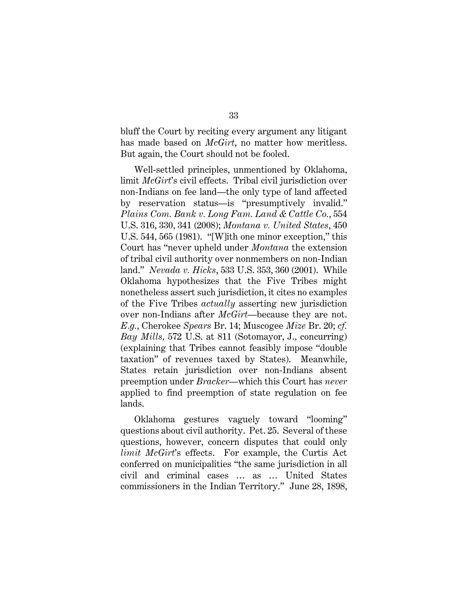bluff the Court by reciting every argument any litigant has made based on *McGirt*, no matter how meritless. But again, the Court should not be fooled.

Well-settled principles, unmentioned by Oklahoma, limit *McGirt*'s civil effects. Tribal civil jurisdiction over non-Indians on fee land—the only type of land affected by reservation status—is "presumptively invalid." *Plains Com. Bank v. Long Fam. Land & Cattle Co.*, 554 U.S. 316, 330, 341 (2008); *Montana v. United States*, 450 U.S. 544, 565 (1981). "[W]ith one minor exception," this Court has "never upheld under *Montana* the extension of tribal civil authority over nonmembers on non-Indian land." *Nevada v. Hicks*, 533 U.S. 353, 360 (2001). While Oklahoma hypothesizes that the Five Tribes might nonetheless assert such jurisdiction, it cites no examples of the Five Tribes *actually* asserting new jurisdiction over non-Indians after *McGirt*—because they are not. *E.g.*, Cherokee *Spears* Br. 14; Muscogee *Mize* Br. 20; *cf. Bay Mills,* 572 U.S. at 811 (Sotomayor, J., concurring) (explaining that Tribes cannot feasibly impose "double taxation" of revenues taxed by States). Meanwhile, States retain jurisdiction over non-Indians absent preemption under *Bracker*—which this Court has *never* applied to find preemption of state regulation on fee lands.

Oklahoma gestures vaguely toward "looming" questions about civil authority. Pet. 25. Several of these questions, however, concern disputes that could only *limit McGirt*'s effects. For example, the Curtis Act conferred on municipalities "the same jurisdiction in all civil and criminal cases … as … United States commissioners in the Indian Territory." June 28, 1898,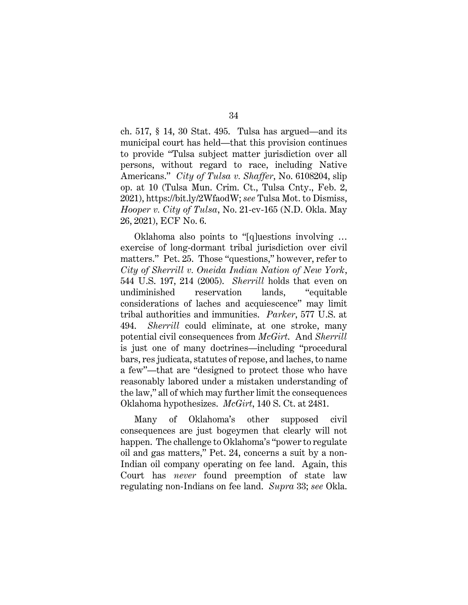ch. 517, § 14, 30 Stat. 495. Tulsa has argued—and its municipal court has held—that this provision continues to provide "Tulsa subject matter jurisdiction over all persons, without regard to race, including Native Americans." *City of Tulsa v. Shaffer*, No. 6108204, slip op. at 10 (Tulsa Mun. Crim. Ct., Tulsa Cnty., Feb. 2, 2021), https://bit.ly/2WfaodW; *see* Tulsa Mot. to Dismiss, *Hooper v. City of Tulsa*, No. 21-cv-165 (N.D. Okla. May 26, 2021), ECF No. 6.

Oklahoma also points to "[q]uestions involving … exercise of long-dormant tribal jurisdiction over civil matters." Pet. 25. Those "questions," however, refer to *City of Sherrill v. Oneida Indian Nation of New York*, 544 U.S. 197, 214 (2005). *Sherrill* holds that even on undiminished reservation lands, "equitable considerations of laches and acquiescence" may limit tribal authorities and immunities. *Parker*, 577 U.S. at 494. *Sherrill* could eliminate, at one stroke, many potential civil consequences from *McGirt*. And *Sherrill* is just one of many doctrines—including "procedural bars, res judicata, statutes of repose, and laches, to name a few"—that are "designed to protect those who have reasonably labored under a mistaken understanding of the law," all of which may further limit the consequences Oklahoma hypothesizes. *McGirt*, 140 S. Ct. at 2481.

Many of Oklahoma's other supposed civil consequences are just bogeymen that clearly will not happen. The challenge to Oklahoma's "power to regulate oil and gas matters," Pet. 24, concerns a suit by a non-Indian oil company operating on fee land. Again, this Court has *never* found preemption of state law regulating non-Indians on fee land. *Supra* 33; *see* Okla.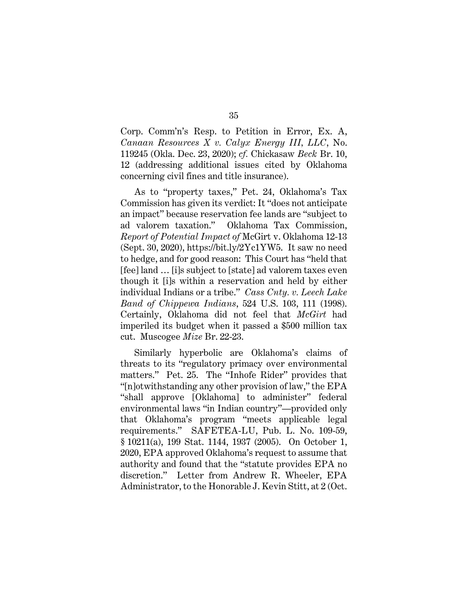Corp. Comm'n's Resp. to Petition in Error, Ex. A, *Canaan Resources X v. Calyx Energy III, LLC*, No. 119245 (Okla. Dec. 23, 2020); *cf.* Chickasaw *Beck* Br. 10, 12 (addressing additional issues cited by Oklahoma concerning civil fines and title insurance).

As to "property taxes," Pet. 24, Oklahoma's Tax Commission has given its verdict: It "does not anticipate an impact" because reservation fee lands are "subject to ad valorem taxation." Oklahoma Tax Commission, *Report of Potential Impact of* McGirt v. Oklahoma 12-13 (Sept. 30, 2020), https://bit.ly/2Yc1YW5. It saw no need to hedge, and for good reason: This Court has "held that [fee] land … [i]s subject to [state] ad valorem taxes even though it [i]s within a reservation and held by either individual Indians or a tribe." *Cass Cnty. v. Leech Lake Band of Chippewa Indians*, 524 U.S. 103, 111 (1998). Certainly, Oklahoma did not feel that *McGirt* had imperiled its budget when it passed a \$500 million tax cut. Muscogee *Mize* Br. 22-23.

Similarly hyperbolic are Oklahoma's claims of threats to its "regulatory primacy over environmental matters." Pet. 25. The "Inhofe Rider" provides that "[n]otwithstanding any other provision of law," the EPA "shall approve [Oklahoma] to administer" federal environmental laws "in Indian country"—provided only that Oklahoma's program "meets applicable legal requirements." SAFETEA-LU, Pub. L. No. 109-59, § 10211(a), 199 Stat. 1144, 1937 (2005). On October 1, 2020, EPA approved Oklahoma's request to assume that authority and found that the "statute provides EPA no discretion." Letter from Andrew R. Wheeler, EPA Administrator, to the Honorable J. Kevin Stitt, at 2 (Oct.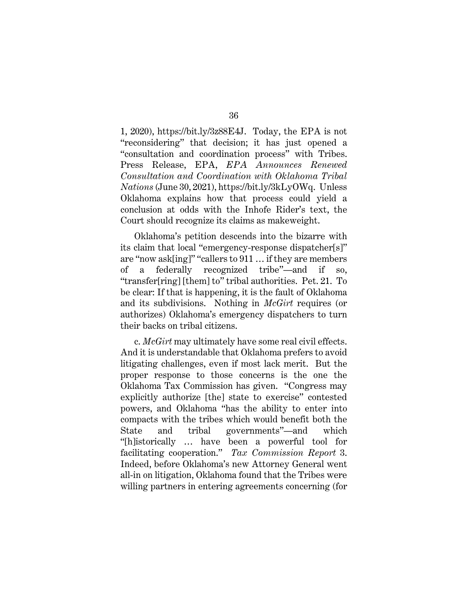1, 2020), https://bit.ly/3z88E4J. Today, the EPA is not "reconsidering" that decision; it has just opened a "consultation and coordination process" with Tribes. Press Release, EPA, *EPA Announces Renewed Consultation and Coordination with Oklahoma Tribal Nations* (June 30, 2021), https://bit.ly/3kLyOWq. Unless Oklahoma explains how that process could yield a conclusion at odds with the Inhofe Rider's text, the Court should recognize its claims as makeweight.

Oklahoma's petition descends into the bizarre with its claim that local "emergency-response dispatcher[s]" are "now ask[ing]" "callers to 911 … if they are members of a federally recognized tribe"—and if so, "transfer[ring] [them] to" tribal authorities. Pet. 21. To be clear: If that is happening, it is the fault of Oklahoma and its subdivisions. Nothing in *McGirt* requires (or authorizes) Oklahoma's emergency dispatchers to turn their backs on tribal citizens.

c. *McGirt* may ultimately have some real civil effects. And it is understandable that Oklahoma prefers to avoid litigating challenges, even if most lack merit. But the proper response to those concerns is the one the Oklahoma Tax Commission has given. "Congress may explicitly authorize [the] state to exercise" contested powers, and Oklahoma "has the ability to enter into compacts with the tribes which would benefit both the State and tribal governments"—and which "[h]istorically … have been a powerful tool for facilitating cooperation." *Tax Commission Report* 3. Indeed, before Oklahoma's new Attorney General went all-in on litigation, Oklahoma found that the Tribes were willing partners in entering agreements concerning (for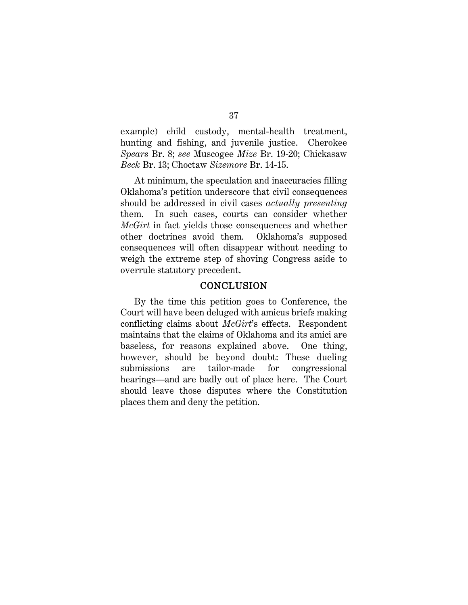example) child custody, mental-health treatment, hunting and fishing, and juvenile justice. Cherokee *Spears* Br. 8; *see* Muscogee *Mize* Br. 19-20; Chickasaw *Beck* Br. 13; Choctaw *Sizemore* Br. 14-15.

At minimum, the speculation and inaccuracies filling Oklahoma's petition underscore that civil consequences should be addressed in civil cases *actually presenting* them. In such cases, courts can consider whether *McGirt* in fact yields those consequences and whether other doctrines avoid them. Oklahoma's supposed consequences will often disappear without needing to weigh the extreme step of shoving Congress aside to overrule statutory precedent.

#### **CONCLUSION**

By the time this petition goes to Conference, the Court will have been deluged with amicus briefs making conflicting claims about *McGirt*'s effects. Respondent maintains that the claims of Oklahoma and its amici are baseless, for reasons explained above. One thing, however, should be beyond doubt: These dueling submissions are tailor-made for congressional hearings—and are badly out of place here. The Court should leave those disputes where the Constitution places them and deny the petition.

#### 37